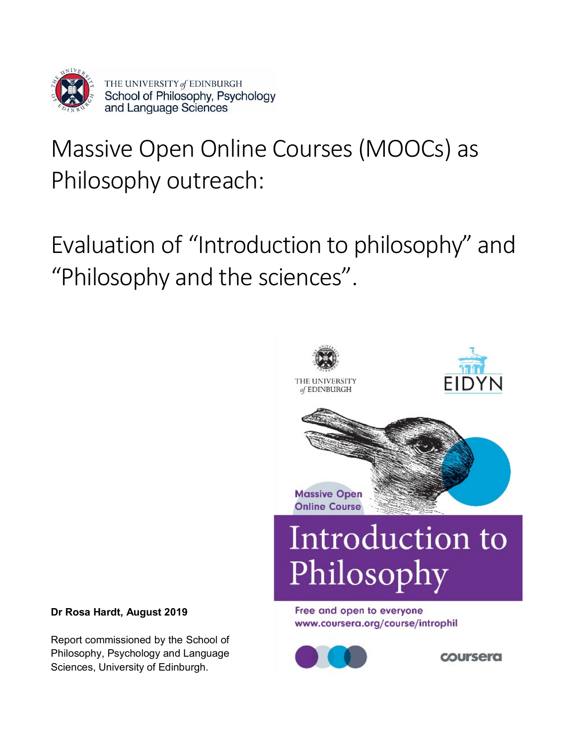

# Massive Open Online Courses (MOOCs) as Philosophy outreach:

Evaluation of "Introduction to philosophy" and "Philosophy and the sciences".



*coursera* 

### **Dr Rosa Hardt, August 2019**

Report commissioned by the School of Philosophy, Psychology and Language Sciences, University of Edinburgh.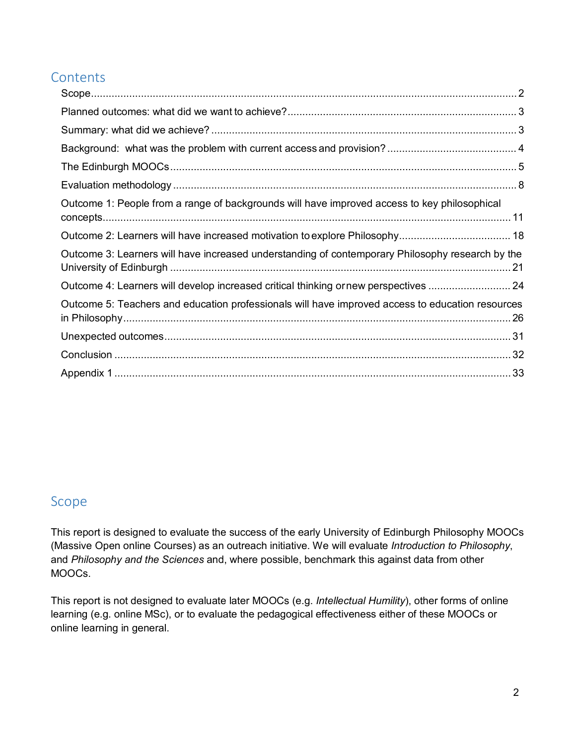### **Contents**

| Outcome 1: People from a range of backgrounds will have improved access to key philosophical     |  |
|--------------------------------------------------------------------------------------------------|--|
|                                                                                                  |  |
| Outcome 3: Learners will have increased understanding of contemporary Philosophy research by the |  |
| Outcome 4: Learners will develop increased critical thinking ornew perspectives  24              |  |
| Outcome 5: Teachers and education professionals will have improved access to education resources |  |
|                                                                                                  |  |
|                                                                                                  |  |
|                                                                                                  |  |

### <span id="page-1-0"></span>Scope

This report is designed to evaluate the success of the early University of Edinburgh Philosophy MOOCs (Massive Open online Courses) as an outreach initiative. We will evaluate *Introduction to Philosophy*, and *Philosophy and the Sciences* and, where possible, benchmark this against data from other MOOCs.

This report is not designed to evaluate later MOOCs (e.g. *Intellectual Humility*), other forms of online learning (e.g. online MSc), or to evaluate the pedagogical effectiveness either of these MOOCs or online learning in general.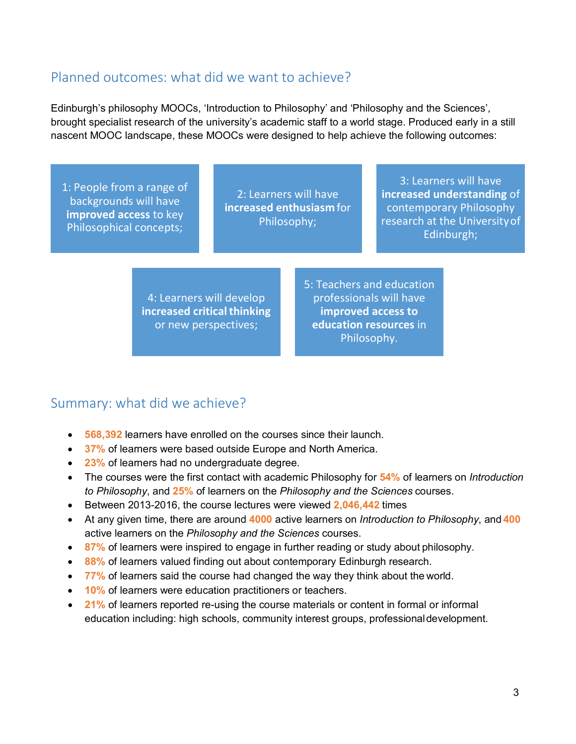### <span id="page-2-0"></span>Planned outcomes: what did we want to achieve?

Edinburgh's philosophy MOOCs, 'Introduction to Philosophy' and 'Philosophy and the Sciences', brought specialist research of the university's academic staff to a world stage. Produced early in a still nascent MOOC landscape, these MOOCs were designed to help achieve the following outcomes:

1: People from a range of backgrounds will have **improved access** to key Philosophical concepts;

2: Learners will have **increased enthusiasm** for Philosophy;

3: Learners will have **increased understanding** of contemporary Philosophy research at the Universityof Edinburgh;

4: Learners will develop **increased critical thinking** or new perspectives;

5: Teachers and education professionals will have **improved access to education resources** in Philosophy.

### <span id="page-2-1"></span>Summary: what did we achieve?

- **568,392** learners have enrolled on the courses since their launch.
- **37%** of learners were based outside Europe and North America.
- **23%** of learners had no undergraduate degree.
- The courses were the first contact with academic Philosophy for **54%** of learners on *Introduction to Philosophy*, and **25%** of learners on the *Philosophy and the Sciences* courses.
- Between 2013-2016, the course lectures were viewed **2,046,442** times
- At any given time, there are around **4000** active learners on *Introduction to Philosophy*, and **400** active learners on the *Philosophy and the Sciences* courses.
- **87%** of learners were inspired to engage in further reading or study about philosophy.
- **88%** of learners valued finding out about contemporary Edinburgh research.
- **77%** of learners said the course had changed the way they think about the world.
- **10%** of learners were education practitioners or teachers.
- **21%** of learners reported re-using the course materials or content in formal or informal education including: high schools, community interest groups, professionaldevelopment.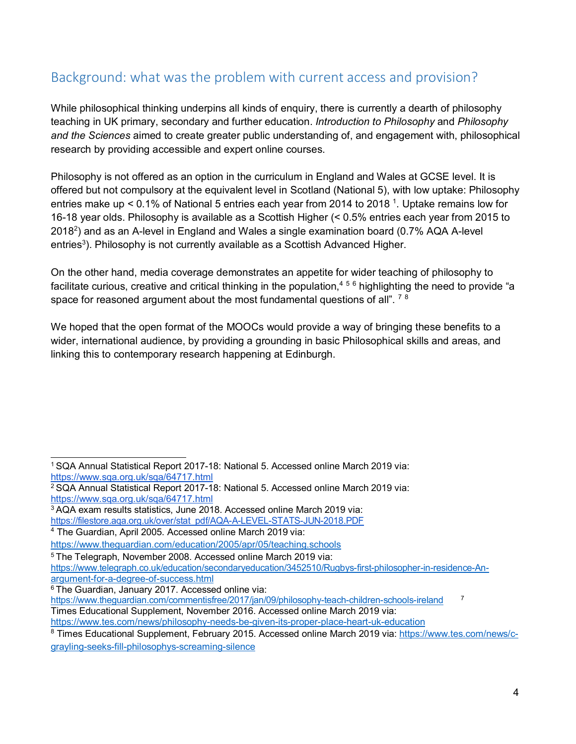### <span id="page-3-0"></span>Background: what was the problem with current access and provision?

While philosophical thinking underpins all kinds of enquiry, there is currently a dearth of philosophy teaching in UK primary, secondary and further education. *Introduction to Philosophy* and *Philosophy and the Sciences* aimed to create greater public understanding of, and engagement with, philosophical research by providing accessible and expert online courses.

Philosophy is not offered as an option in the curriculum in England and Wales at GCSE level. It is offered but not compulsory at the equivalent level in Scotland (National 5), with low uptake: Philosophy entries make up < 0.1% of National 5 entries each year from 2014 to 2018 <sup>1</sup>. Uptake remains low for 16-18 year olds. Philosophy is available as a Scottish Higher (< 0.5% entries each year from 2015 to 2018<sup>2</sup>) and as an A-level in England and Wales a single examination board (0.7% AQA A-level entries $^3$ ). Philosophy is not currently available as a Scottish Advanced Higher.

On the other hand, media coverage demonstrates an appetite for wider teaching of philosophy to facilitate curious, creative and critical thinking in the population,<sup>4[5](#page-3-4)[6](#page-3-5)</sup> highlighting the need to provide "a space for reasoned argument about the most fundamental questions of all".  $78$  $78$ 

We hoped that the open format of the MOOCs would provide a way of bringing these benefits to a wider, international audience, by providing a grounding in basic Philosophical skills and areas, and linking this to contemporary research happening at Edinburgh.

<span id="page-3-3"></span>3 AQA exam results statistics, June 2018. Accessed online March 2019 via: [https://filestore.aqa.org.uk/over/stat\\_pdf/AQA-A-LEVEL-STATS-JUN-2018.PDF](https://filestore.aqa.org.uk/over/stat_pdf/AQA-A-LEVEL-STATS-JUN-2018.PDF) 4 The Guardian, April 2005. Accessed online March 2019 via:

<span id="page-3-1"></span><sup>1</sup> SQA Annual Statistical Report 2017-18: National 5. Accessed online March 2019 via: <https://www.sqa.org.uk/sqa/64717.html>

<span id="page-3-2"></span><sup>2</sup> SQA Annual Statistical Report 2017-18: National 5. Accessed online March 2019 via: <https://www.sqa.org.uk/sqa/64717.html>

<span id="page-3-4"></span>

<https://www.theguardian.com/education/2005/apr/05/teaching.schools>

<sup>5</sup> The Telegraph, November 2008. Accessed online March 2019 via:

[https://www.telegraph.co.uk/education/secondaryeducation/3452510/Rugbys-first-philosopher-in-residence-An](https://www.telegraph.co.uk/education/secondaryeducation/3452510/Rugbys-first-philosopher-in-residence-An-argument-for-a-degree-of-success.html)[argument-for-a-degree-of-success.html](https://www.telegraph.co.uk/education/secondaryeducation/3452510/Rugbys-first-philosopher-in-residence-An-argument-for-a-degree-of-success.html)

<span id="page-3-5"></span><sup>&</sup>lt;sup>6</sup> The Guardian, January 2017. Accessed online via:

https://www.theguardian.com/commentisfree/2017/jan/09/philosophy-teach-children-schools-ireland<sup>7</sup>

<span id="page-3-6"></span>Times Educational Supplement, November 2016. Accessed online March 2019 via:

<https://www.tes.com/news/philosophy-needs-be-given-its-proper-place-heart-uk-education>

<sup>8</sup> Times Educational Supplement, February 2015. Accessed online March 2019 via: [https://www.tes.com/news/c](https://www.tes.com/news/c-grayling-seeks-fill-philosophys-screaming-silence)[grayling-seeks-fill-philosophys-screaming-silence](https://www.tes.com/news/c-grayling-seeks-fill-philosophys-screaming-silence)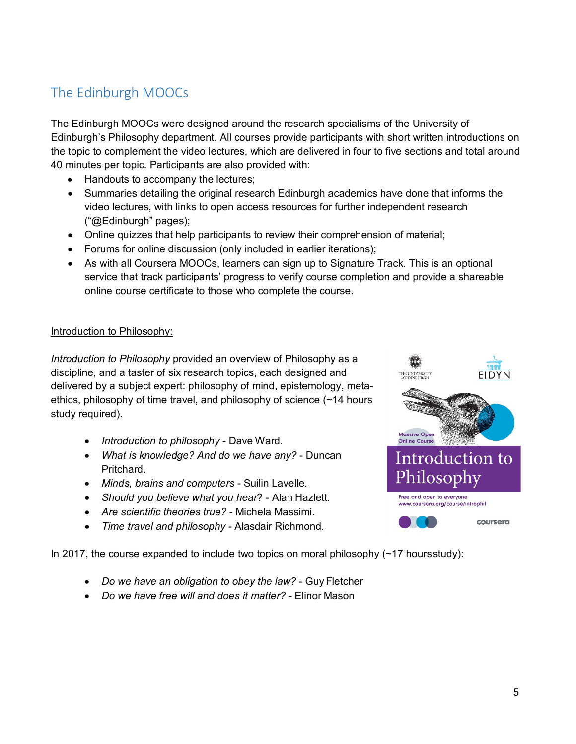### <span id="page-4-0"></span>The Edinburgh MOOCs

The Edinburgh MOOCs were designed around the research specialisms of the University of Edinburgh's Philosophy department. All courses provide participants with short written introductions on the topic to complement the video lectures, which are delivered in four to five sections and total around 40 minutes per topic. Participants are also provided with:

- Handouts to accompany the lectures;
- Summaries detailing the original research Edinburgh academics have done that informs the video lectures, with links to open access resources for further independent research ("@Edinburgh" pages);
- Online quizzes that help participants to review their comprehension of material;
- Forums for online discussion (only included in earlier iterations);
- As with all Coursera MOOCs, learners can sign up to Signature Track. This is an optional service that track participants' progress to verify course completion and provide a shareable online course certificate to those who complete the course.

#### Introduction to Philosophy:

*Introduction to Philosophy* provided an overview of Philosophy as a discipline, and a taster of six research topics, each designed and delivered by a subject expert: philosophy of mind, epistemology, metaethics, philosophy of time travel, and philosophy of science (~14 hours study required).

- *Introduction to philosophy*  Dave Ward.
- *What is knowledge? And do we have any?*  Duncan Pritchard.
- *Minds, brains and computers*  Suilin Lavelle.
- *Should you believe what you hear*? Alan Hazlett.
- *Are scientific theories true?*  Michela Massimi.
- *Time travel and philosophy -* Alasdair Richmond.

In 2017, the course expanded to include two topics on moral philosophy  $(\sim 17$  hoursstudy):

- *Do we have an obligation to obey the law?*  GuyFletcher
- *Do we have free will and does it matter?*  Elinor Mason

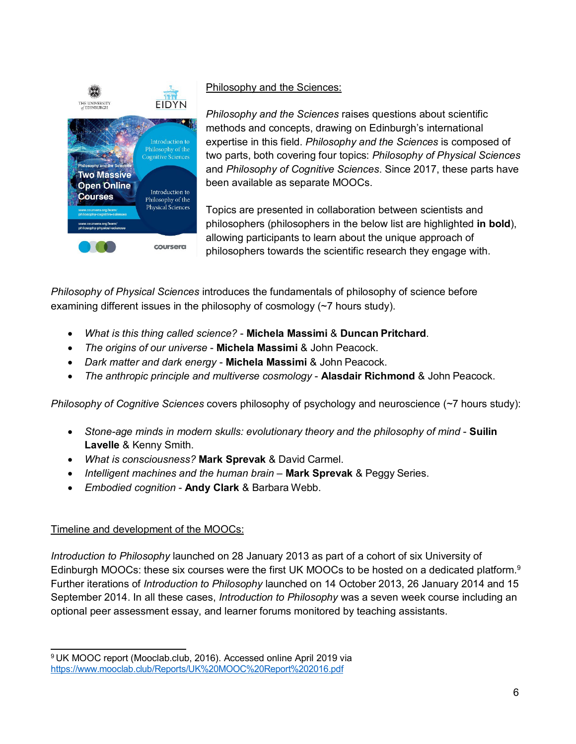

### Philosophy and the Sciences:

*Philosophy and the Sciences* raises questions about scientific methods and concepts, drawing on Edinburgh's international expertise in this field. *Philosophy and the Sciences* is composed of two parts, both covering four topics: *Philosophy of Physical Sciences*  and *Philosophy of Cognitive Sciences*. Since 2017, these parts have been available as separate MOOCs.

Topics are presented in collaboration between scientists and philosophers (philosophers in the below list are highlighted **in bold**), allowing participants to learn about the unique approach of philosophers towards the scientific research they engage with.

*Philosophy of Physical Sciences* introduces the fundamentals of philosophy of science before examining different issues in the philosophy of cosmology (~7 hours study).

- *What is this thing called science?*  **Michela Massimi** & **Duncan Pritchard**.
- *The origins of our universe*  **Michela Massimi** & John Peacock.
- *Dark matter and dark energy*  **Michela Massimi** & John Peacock.
- *The anthropic principle and multiverse cosmology*  **Alasdair Richmond** & John Peacock.

*Philosophy of Cognitive Sciences* covers philosophy of psychology and neuroscience (~7 hours study):

- Stone-age minds in modern skulls: evolutionary theory and the philosophy of mind **Suilin Lavelle** & Kenny Smith.
- *What is consciousness?* **Mark Sprevak** & David Carmel.
- *Intelligent machines and the human brain*  **Mark Sprevak** & Peggy Series.
- *Embodied cognition*  **Andy Clark** & Barbara Webb.

### Timeline and development of the MOOCs:

*Introduction to Philosophy* launched on 28 January 2013 as part of a cohort of six University of Edinburgh MOOCs: these six courses were the first UK MOOCs to be hosted on a dedicated platform.<sup>9</sup> Further iterations of *Introduction to Philosophy* launched on 14 October 2013, 26 January 2014 and 15 September 2014. In all these cases, *Introduction to Philosophy* was a seven week course including an optional peer assessment essay, and learner forums monitored by teaching assistants.

<span id="page-5-0"></span><sup>9</sup> UK MOOC report (Mooclab.club, 2016). Accessed online April 2019 via <https://www.mooclab.club/Reports/UK%20MOOC%20Report%202016.pdf>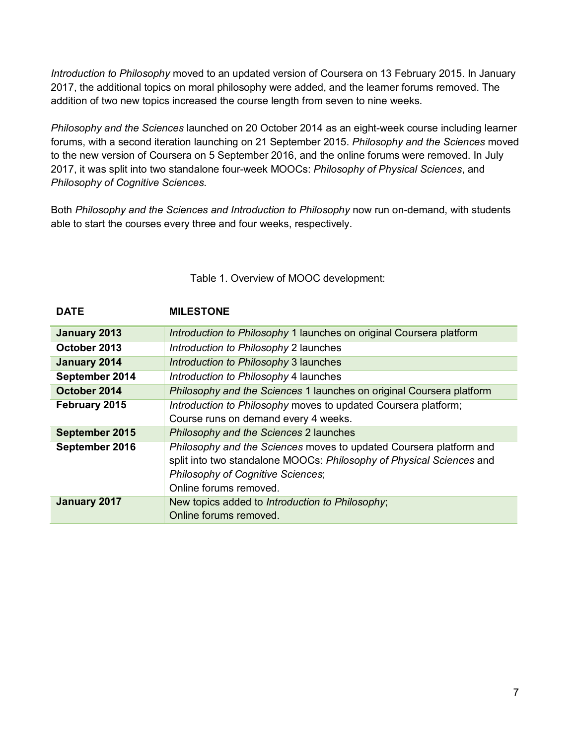*Introduction to Philosophy* moved to an updated version of Coursera on 13 February 2015. In January 2017, the additional topics on moral philosophy were added, and the learner forums removed. The addition of two new topics increased the course length from seven to nine weeks.

*Philosophy and the Sciences* launched on 20 October 2014 as an eight-week course including learner forums, with a second iteration launching on 21 September 2015. *Philosophy and the Sciences* moved to the new version of Coursera on 5 September 2016, and the online forums were removed. In July 2017, it was split into two standalone four-week MOOCs: *Philosophy of Physical Sciences*, and *Philosophy of Cognitive Sciences*.

Both *Philosophy and the Sciences and Introduction to Philosophy* now run on-demand, with students able to start the courses every three and four weeks, respectively.

| <b>DATE</b>    | <b>MILESTONE</b>                                                                                                                                                                                                 |
|----------------|------------------------------------------------------------------------------------------------------------------------------------------------------------------------------------------------------------------|
| January 2013   | Introduction to Philosophy 1 launches on original Coursera platform                                                                                                                                              |
| October 2013   | Introduction to Philosophy 2 launches                                                                                                                                                                            |
| January 2014   | Introduction to Philosophy 3 launches                                                                                                                                                                            |
| September 2014 | Introduction to Philosophy 4 launches                                                                                                                                                                            |
| October 2014   | Philosophy and the Sciences 1 launches on original Coursera platform                                                                                                                                             |
| February 2015  | Introduction to Philosophy moves to updated Coursera platform;                                                                                                                                                   |
|                | Course runs on demand every 4 weeks.                                                                                                                                                                             |
| September 2015 | Philosophy and the Sciences 2 launches                                                                                                                                                                           |
| September 2016 | Philosophy and the Sciences moves to updated Coursera platform and<br>split into two standalone MOOCs: Philosophy of Physical Sciences and<br><b>Philosophy of Cognitive Sciences;</b><br>Online forums removed. |
| January 2017   | New topics added to Introduction to Philosophy;<br>Online forums removed.                                                                                                                                        |

### Table 1. Overview of MOOC development: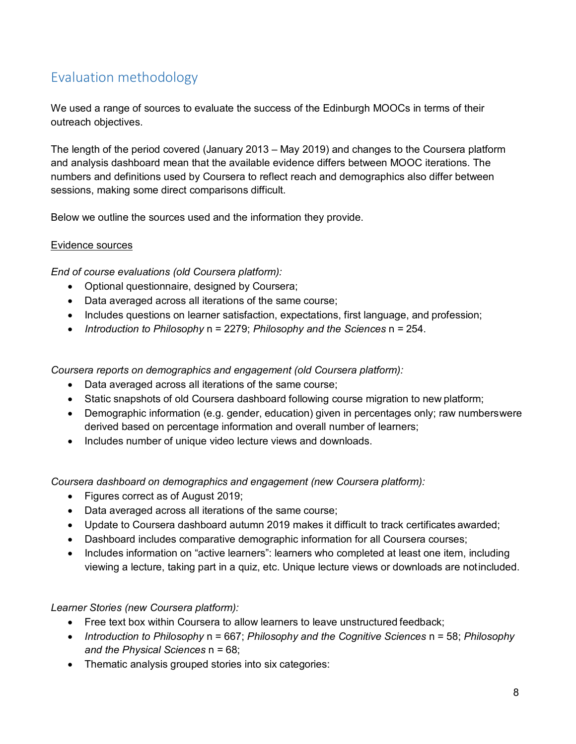### <span id="page-7-0"></span>Evaluation methodology

We used a range of sources to evaluate the success of the Edinburgh MOOCs in terms of their outreach objectives.

The length of the period covered (January 2013 – May 2019) and changes to the Coursera platform and analysis dashboard mean that the available evidence differs between MOOC iterations. The numbers and definitions used by Coursera to reflect reach and demographics also differ between sessions, making some direct comparisons difficult.

Below we outline the sources used and the information they provide.

### Evidence sources

*End of course evaluations (old Coursera platform):*

- Optional questionnaire, designed by Coursera;
- Data averaged across all iterations of the same course;
- Includes questions on learner satisfaction, expectations, first language, and profession;
- *Introduction to Philosophy* n = 2279; *Philosophy and the Sciences* n = 254.

*Coursera reports on demographics and engagement (old Coursera platform):*

- Data averaged across all iterations of the same course;
- Static snapshots of old Coursera dashboard following course migration to new platform;
- Demographic information (e.g. gender, education) given in percentages only; raw numberswere derived based on percentage information and overall number of learners;
- Includes number of unique video lecture views and downloads.

*Coursera dashboard on demographics and engagement (new Coursera platform):*

- Figures correct as of August 2019;
- Data averaged across all iterations of the same course;
- Update to Coursera dashboard autumn 2019 makes it difficult to track certificates awarded;
- Dashboard includes comparative demographic information for all Coursera courses;
- Includes information on "active learners": learners who completed at least one item, including viewing a lecture, taking part in a quiz, etc. Unique lecture views or downloads are notincluded.

*Learner Stories (new Coursera platform):*

- Free text box within Coursera to allow learners to leave unstructured feedback:
- *Introduction to Philosophy* n = 667; *Philosophy and the Cognitive Sciences* n = 58; *Philosophy and the Physical Sciences* n = 68;
- Thematic analysis grouped stories into six categories: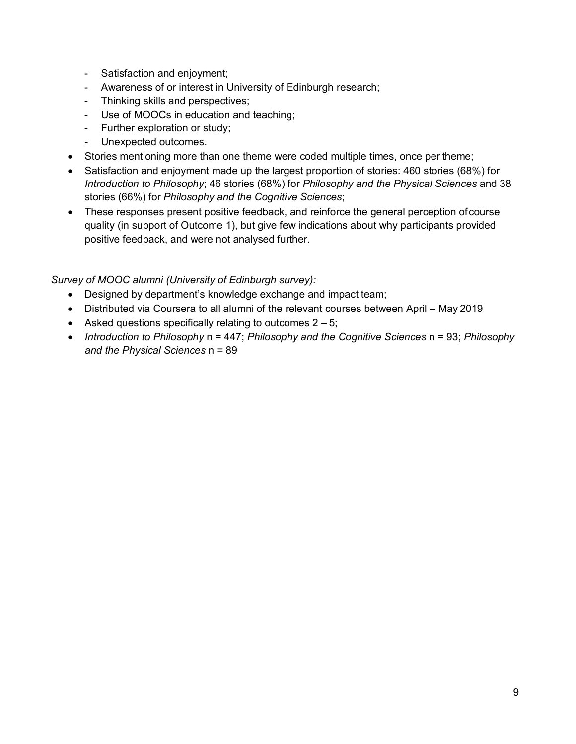- Satisfaction and enjoyment;
- Awareness of or interest in University of Edinburgh research;
- Thinking skills and perspectives;
- Use of MOOCs in education and teaching;
- Further exploration or study;
- Unexpected outcomes.
- Stories mentioning more than one theme were coded multiple times, once per theme;
- Satisfaction and enjoyment made up the largest proportion of stories: 460 stories (68%) for *Introduction to Philosophy*; 46 stories (68%) for *Philosophy and the Physical Sciences* and 38 stories (66%) for *Philosophy and the Cognitive Sciences*;
- These responses present positive feedback, and reinforce the general perception ofcourse quality (in support of Outcome 1), but give few indications about why participants provided positive feedback, and were not analysed further.

#### *Survey of MOOC alumni (University of Edinburgh survey):*

- Designed by department's knowledge exchange and impact team;
- Distributed via Coursera to all alumni of the relevant courses between April May 2019
- Asked questions specifically relating to outcomes  $2 5$ ;
- *Introduction to Philosophy* n = 447; *Philosophy and the Cognitive Sciences* n = 93; *Philosophy and the Physical Sciences* n = 89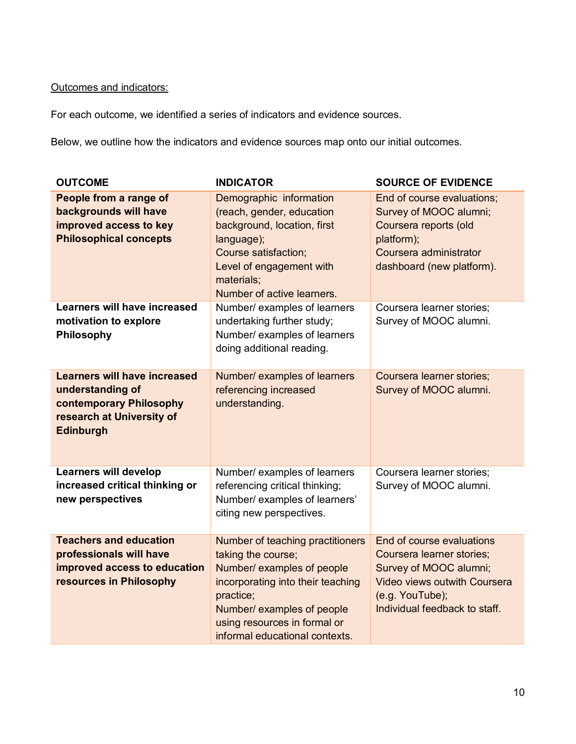### Outcomes and indicators:

For each outcome, we identified a series of indicators and evidence sources.

Below, we outline how the indicators and evidence sources map onto our initial outcomes.

| <b>OUTCOME</b>                                                                                                                      | <b>INDICATOR</b>                                                                                                                                                                                                                       | <b>SOURCE OF EVIDENCE</b>                                                                                                                                            |
|-------------------------------------------------------------------------------------------------------------------------------------|----------------------------------------------------------------------------------------------------------------------------------------------------------------------------------------------------------------------------------------|----------------------------------------------------------------------------------------------------------------------------------------------------------------------|
| People from a range of<br>backgrounds will have<br>improved access to key<br><b>Philosophical concepts</b>                          | Demographic information<br>(reach, gender, education<br>background, location, first<br>language);<br>Course satisfaction;<br>Level of engagement with<br>materials;<br>Number of active learners.                                      | End of course evaluations;<br>Survey of MOOC alumni;<br>Coursera reports (old<br>platform);<br>Coursera administrator<br>dashboard (new platform).                   |
| <b>Learners will have increased</b><br>motivation to explore<br>Philosophy                                                          | Number/ examples of learners<br>undertaking further study;<br>Number/ examples of learners<br>doing additional reading.                                                                                                                | Coursera learner stories;<br>Survey of MOOC alumni.                                                                                                                  |
| <b>Learners will have increased</b><br>understanding of<br>contemporary Philosophy<br>research at University of<br><b>Edinburgh</b> | Number/ examples of learners<br>referencing increased<br>understanding.                                                                                                                                                                | Coursera learner stories;<br>Survey of MOOC alumni.                                                                                                                  |
| <b>Learners will develop</b><br>increased critical thinking or<br>new perspectives                                                  | Number/ examples of learners<br>referencing critical thinking;<br>Number/ examples of learners'<br>citing new perspectives.                                                                                                            | Coursera learner stories;<br>Survey of MOOC alumni.                                                                                                                  |
| <b>Teachers and education</b><br>professionals will have<br>improved access to education<br>resources in Philosophy                 | Number of teaching practitioners<br>taking the course;<br>Number/ examples of people<br>incorporating into their teaching<br>practice;<br>Number/ examples of people<br>using resources in formal or<br>informal educational contexts. | End of course evaluations<br>Coursera learner stories;<br>Survey of MOOC alumni;<br>Video views outwith Coursera<br>(e.g. YouTube);<br>Individual feedback to staff. |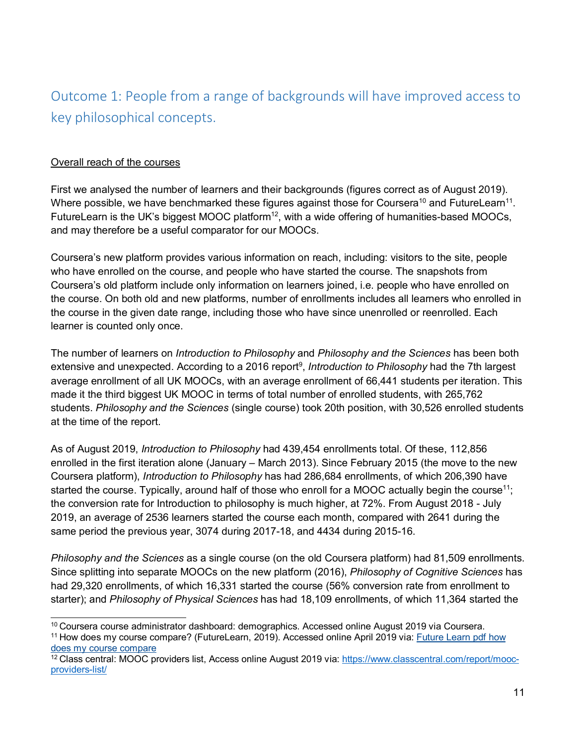### <span id="page-10-0"></span>Outcome 1: People from a range of backgrounds will have improved access to key philosophical concepts.

### Overall reach of the courses

First we analysed the number of learners and their backgrounds (figures correct as of August 2019). Where possible, we have benchmarked these figures against those for Coursera<sup>10</sup> and FutureLearn<sup>11</sup>. FutureLearn is the UK's biggest MOOC platform<sup>12</sup>, with a wide offering of humanities-based MOOCs, and may therefore be a useful comparator for our MOOCs.

Coursera's new platform provides various information on reach, including: visitors to the site, people who have enrolled on the course, and people who have started the course. The snapshots from Coursera's old platform include only information on learners joined, i.e. people who have enrolled on the course. On both old and new platforms, number of enrollments includes all learners who enrolled in the course in the given date range, including those who have since unenrolled or reenrolled. Each learner is counted only once.

The number of learners on *Introduction to Philosophy* and *Philosophy and the Sciences* has been both extensive and unexpected. According to a 2016 report<sup>9</sup>, *Introduction to Philosophy* had the 7th largest average enrollment of all UK MOOCs, with an average enrollment of 66,441 students per iteration. This made it the third biggest UK MOOC in terms of total number of enrolled students, with 265,762 students. *Philosophy and the Sciences* (single course) took 20th position, with 30,526 enrolled students at the time of the report.

As of August 2019, *Introduction to Philosophy* had 439,454 enrollments total. Of these, 112,856 enrolled in the first iteration alone (January – March 2013). Since February 2015 (the move to the new Coursera platform), *Introduction to Philosophy* has had 286,684 enrollments, of which 206,390 have started the course. Typically, around half of those who enroll for a MOOC actually begin the course<sup>11</sup>; the conversion rate for Introduction to philosophy is much higher, at 72%. From August 2018 - July 2019, an average of 2536 learners started the course each month, compared with 2641 during the same period the previous year, 3074 during 2017-18, and 4434 during 2015-16.

*Philosophy and the Sciences* as a single course (on the old Coursera platform) had 81,509 enrollments. Since splitting into separate MOOCs on the new platform (2016), *Philosophy of Cognitive Sciences* has had 29,320 enrollments, of which 16,331 started the course (56% conversion rate from enrollment to starter); and *Philosophy of Physical Sciences* has had 18,109 enrollments, of which 11,364 started the

<span id="page-10-2"></span>11 How does my course compare? (FutureLearn, 2019). Accessed online April 2019 via: Future Learn pdf how does my course compare

<span id="page-10-1"></span><sup>10</sup> Coursera course administrator dashboard: demographics. Accessed online August 2019 via Coursera.

<span id="page-10-3"></span> $12$  Class central: MOOC providers list, Access online August 2019 via: [https://www.classcentral.com/report/mooc](https://www.classcentral.com/report/mooc-providers-list/)[providers-list/](https://www.classcentral.com/report/mooc-providers-list/)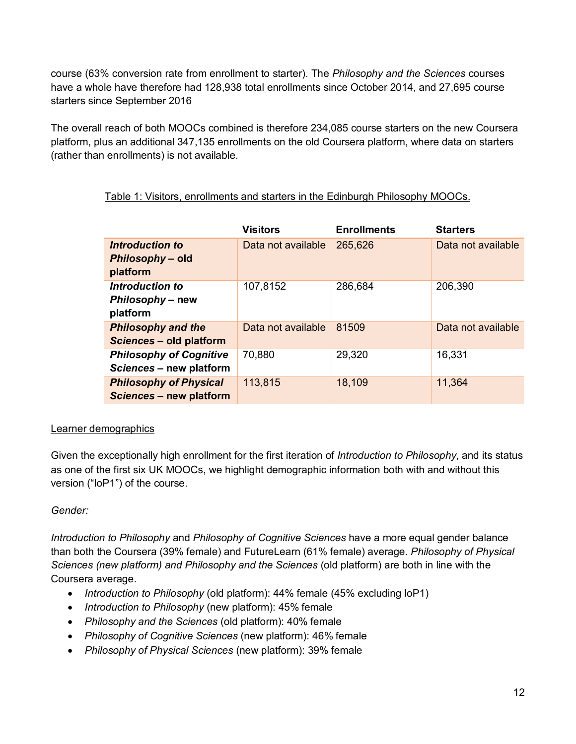course (63% conversion rate from enrollment to starter). The *Philosophy and the Sciences* courses have a whole have therefore had 128,938 total enrollments since October 2014, and 27,695 course starters since September 2016

The overall reach of both MOOCs combined is therefore 234,085 course starters on the new Coursera platform, plus an additional 347,135 enrollments on the old Coursera platform, where data on starters (rather than enrollments) is not available.

|                                                           | <b>Visitors</b>    | <b>Enrollments</b> | <b>Starters</b>    |
|-----------------------------------------------------------|--------------------|--------------------|--------------------|
| Introduction to<br>Philosophy - old                       | Data not available | 265,626            | Data not available |
| platform                                                  |                    |                    |                    |
| Introduction to<br>Philosophy - new                       | 107,8152           | 286,684            | 206,390            |
| platform                                                  |                    |                    |                    |
| <b>Philosophy and the</b><br>Sciences - old platform      | Data not available | 81509              | Data not available |
| <b>Philosophy of Cognitive</b><br>Sciences - new platform | 70,880             | 29,320             | 16,331             |
| <b>Philosophy of Physical</b><br>Sciences - new platform  | 113,815            | 18,109             | 11,364             |

### Table 1: Visitors, enrollments and starters in the Edinburgh Philosophy MOOCs.

### Learner demographics

Given the exceptionally high enrollment for the first iteration of *Introduction to Philosophy*, and its status as one of the first six UK MOOCs, we highlight demographic information both with and without this version ("IoP1") of the course.

### *Gender:*

*Introduction to Philosophy* and *Philosophy of Cognitive Sciences* have a more equal gender balance than both the Coursera (39% female) and FutureLearn (61% female) average. *Philosophy of Physical Sciences (new platform) and Philosophy and the Sciences* (old platform) are both in line with the Coursera average.

- *Introduction to Philosophy* (old platform): 44% female (45% excluding IoP1)
- *Introduction to Philosophy* (new platform): 45% female
- *Philosophy and the Sciences* (old platform): 40% female
- *Philosophy of Cognitive Sciences* (new platform): 46% female
- *Philosophy of Physical Sciences* (new platform): 39% female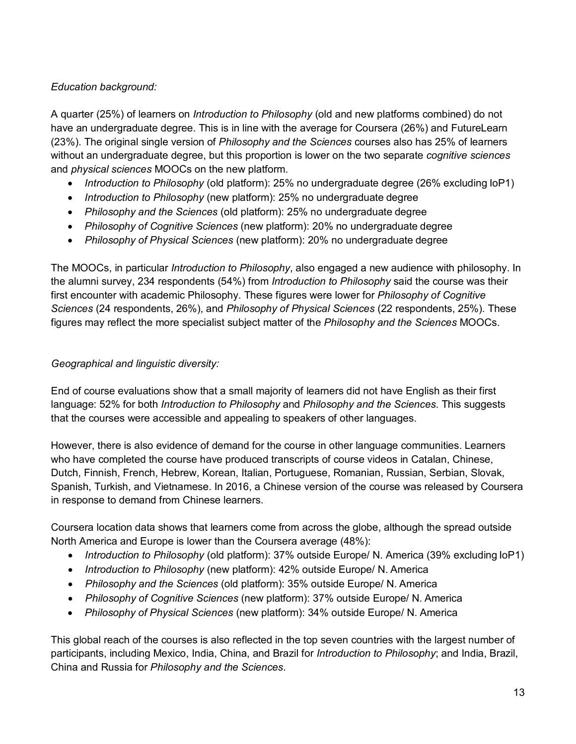### *Education background:*

A quarter (25%) of learners on *Introduction to Philosophy* (old and new platforms combined) do not have an undergraduate degree. This is in line with the average for Coursera (26%) and FutureLearn (23%). The original single version of *Philosophy and the Sciences* courses also has 25% of learners without an undergraduate degree, but this proportion is lower on the two separate *cognitive sciences*  and *physical sciences* MOOCs on the new platform.

- *Introduction to Philosophy* (old platform): 25% no undergraduate degree (26% excluding IoP1)
- *Introduction to Philosophy* (new platform): 25% no undergraduate degree
- *Philosophy and the Sciences* (old platform): 25% no undergraduate degree
- *Philosophy of Cognitive Sciences* (new platform): 20% no undergraduate degree
- *Philosophy of Physical Sciences* (new platform): 20% no undergraduate degree

The MOOCs, in particular *Introduction to Philosophy*, also engaged a new audience with philosophy. In the alumni survey, 234 respondents (54%) from *Introduction to Philosophy* said the course was their first encounter with academic Philosophy. These figures were lower for *Philosophy of Cognitive Sciences* (24 respondents, 26%), and *Philosophy of Physical Sciences* (22 respondents, 25%). These figures may reflect the more specialist subject matter of the *Philosophy and the Sciences* MOOCs.

### *Geographical and linguistic diversity:*

End of course evaluations show that a small majority of learners did not have English as their first language: 52% for both *Introduction to Philosophy* and *Philosophy and the Sciences*. This suggests that the courses were accessible and appealing to speakers of other languages.

However, there is also evidence of demand for the course in other language communities. Learners who have completed the course have produced transcripts of course videos in Catalan, Chinese, Dutch, Finnish, French, Hebrew, Korean, Italian, Portuguese, Romanian, Russian, Serbian, Slovak, Spanish, Turkish, and Vietnamese. In 2016, a Chinese version of the course was released by Coursera in response to demand from Chinese learners.

Coursera location data shows that learners come from across the globe, although the spread outside North America and Europe is lower than the Coursera average (48%):

- *Introduction to Philosophy* (old platform): 37% outside Europe/ N. America (39% excluding IoP1)
- *Introduction to Philosophy* (new platform): 42% outside Europe/ N. America
- *Philosophy and the Sciences* (old platform): 35% outside Europe/ N. America
- *Philosophy of Cognitive Sciences* (new platform): 37% outside Europe/ N. America
- *Philosophy of Physical Sciences* (new platform): 34% outside Europe/ N. America

This global reach of the courses is also reflected in the top seven countries with the largest number of participants, including Mexico, India, China, and Brazil for *Introduction to Philosophy*; and India, Brazil, China and Russia for *Philosophy and the Sciences*.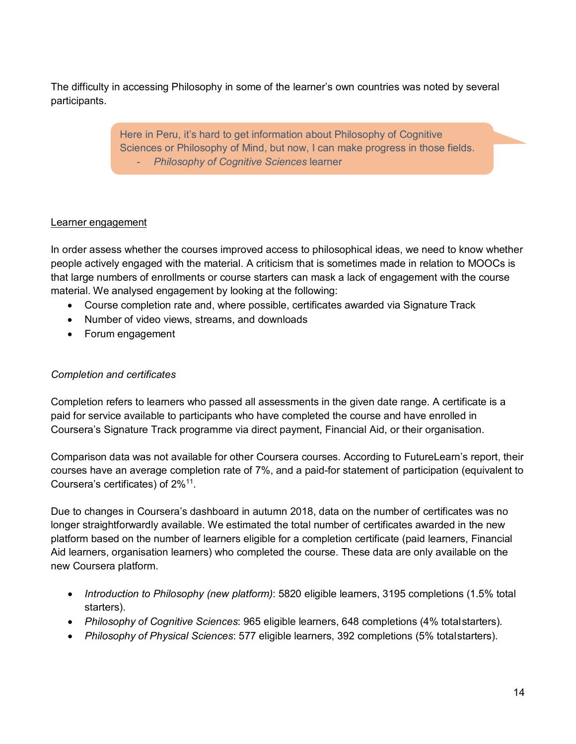The difficulty in accessing Philosophy in some of the learner's own countries was noted by several participants.

> Here in Peru, it's hard to get information about Philosophy of Cognitive Sciences or Philosophy of Mind, but now, I can make progress in those fields. - *Philosophy of Cognitive Sciences* learner

### Learner engagement

In order assess whether the courses improved access to philosophical ideas, we need to know whether people actively engaged with the material. A criticism that is sometimes made in relation to MOOCs is that large numbers of enrollments or course starters can mask a lack of engagement with the course material. We analysed engagement by looking at the following:

- Course completion rate and, where possible, certificates awarded via Signature Track
- Number of video views, streams, and downloads
- Forum engagement

### *Completion and certificates*

Completion refers to learners who passed all assessments in the given date range. A certificate is a paid for service available to participants who have completed the course and have enrolled in Coursera's Signature Track programme via direct payment, Financial Aid, or their organisation.

Comparison data was not available for other Coursera courses. According to FutureLearn's report, their courses have an average completion rate of 7%, and a paid-for statement of participation (equivalent to Coursera's certificates) of 2%11.

Due to changes in Coursera's dashboard in autumn 2018, data on the number of certificates was no longer straightforwardly available. We estimated the total number of certificates awarded in the new platform based on the number of learners eligible for a completion certificate (paid learners, Financial Aid learners, organisation learners) who completed the course. These data are only available on the new Coursera platform.

- *Introduction to Philosophy (new platform)*: 5820 eligible learners, 3195 completions (1.5% total starters).
- *Philosophy of Cognitive Sciences*: 965 eligible learners, 648 completions (4% totalstarters)*.*
- *Philosophy of Physical Sciences*: 577 eligible learners, 392 completions (5% totalstarters).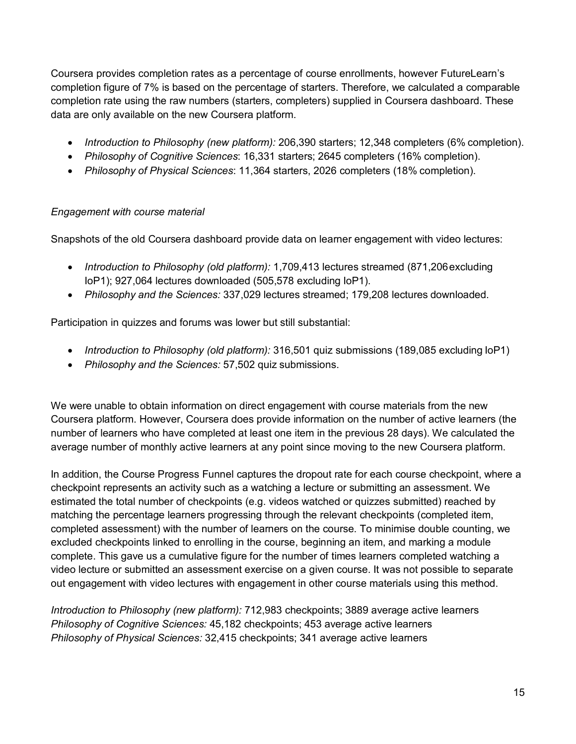Coursera provides completion rates as a percentage of course enrollments, however FutureLearn's completion figure of 7% is based on the percentage of starters. Therefore, we calculated a comparable completion rate using the raw numbers (starters, completers) supplied in Coursera dashboard. These data are only available on the new Coursera platform.

- *Introduction to Philosophy (new platform):* 206,390 starters; 12,348 completers (6% completion).
- *Philosophy of Cognitive Sciences*: 16,331 starters; 2645 completers (16% completion).
- *Philosophy of Physical Sciences*: 11,364 starters, 2026 completers (18% completion).

### *Engagement with course material*

Snapshots of the old Coursera dashboard provide data on learner engagement with video lectures:

- *Introduction to Philosophy (old platform):* 1,709,413 lectures streamed (871,206excluding IoP1); 927,064 lectures downloaded (505,578 excluding IoP1).
- *Philosophy and the Sciences:* 337,029 lectures streamed; 179,208 lectures downloaded.

Participation in quizzes and forums was lower but still substantial:

- *Introduction to Philosophy (old platform):* 316,501 quiz submissions (189,085 excluding IoP1)
- *Philosophy and the Sciences:* 57,502 quiz submissions.

We were unable to obtain information on direct engagement with course materials from the new Coursera platform. However, Coursera does provide information on the number of active learners (the number of learners who have completed at least one item in the previous 28 days). We calculated the average number of monthly active learners at any point since moving to the new Coursera platform.

In addition, the Course Progress Funnel captures the dropout rate for each course checkpoint, where a checkpoint represents an activity such as a watching a lecture or submitting an assessment. We estimated the total number of checkpoints (e.g. videos watched or quizzes submitted) reached by matching the percentage learners progressing through the relevant checkpoints (completed item, completed assessment) with the number of learners on the course. To minimise double counting, we excluded checkpoints linked to enrolling in the course, beginning an item, and marking a module complete. This gave us a cumulative figure for the number of times learners completed watching a video lecture or submitted an assessment exercise on a given course. It was not possible to separate out engagement with video lectures with engagement in other course materials using this method.

*Introduction to Philosophy (new platform):* 712,983 checkpoints; 3889 average active learners *Philosophy of Cognitive Sciences:* 45,182 checkpoints; 453 average active learners *Philosophy of Physical Sciences:* 32,415 checkpoints; 341 average active learners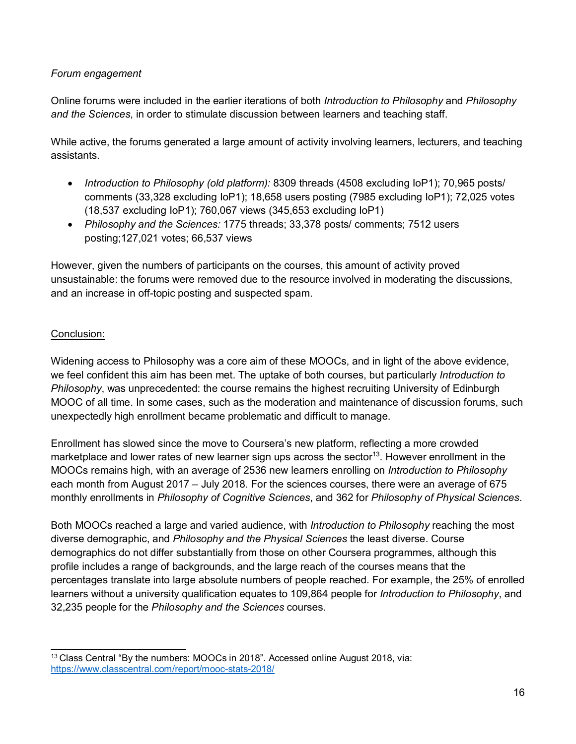### *Forum engagement*

Online forums were included in the earlier iterations of both *Introduction to Philosophy* and *Philosophy and the Sciences*, in order to stimulate discussion between learners and teaching staff.

While active, the forums generated a large amount of activity involving learners, lecturers, and teaching assistants.

- *Introduction to Philosophy (old platform):* 8309 threads (4508 excluding IoP1); 70,965 posts/ comments (33,328 excluding IoP1); 18,658 users posting (7985 excluding IoP1); 72,025 votes (18,537 excluding IoP1); 760,067 views (345,653 excluding IoP1)
- *Philosophy and the Sciences:* 1775 threads; 33,378 posts/ comments; 7512 users posting;127,021 votes; 66,537 views

However, given the numbers of participants on the courses, this amount of activity proved unsustainable: the forums were removed due to the resource involved in moderating the discussions, and an increase in off-topic posting and suspected spam.

### Conclusion:

Widening access to Philosophy was a core aim of these MOOCs, and in light of the above evidence, we feel confident this aim has been met. The uptake of both courses, but particularly *Introduction to Philosophy*, was unprecedented: the course remains the highest recruiting University of Edinburgh MOOC of all time. In some cases, such as the moderation and maintenance of discussion forums, such unexpectedly high enrollment became problematic and difficult to manage.

Enrollment has slowed since the move to Coursera's new platform, reflecting a more crowded marketplace and lower rates of new learner sign ups across the sector<sup>13</sup>. However enrollment in the MOOCs remains high, with an average of 2536 new learners enrolling on *Introduction to Philosophy*  each month from August 2017 – July 2018. For the sciences courses, there were an average of 675 monthly enrollments in *Philosophy of Cognitive Sciences*, and 362 for *Philosophy of Physical Sciences*.

Both MOOCs reached a large and varied audience, with *Introduction to Philosophy* reaching the most diverse demographic, and *Philosophy and the Physical Sciences* the least diverse. Course demographics do not differ substantially from those on other Coursera programmes, although this profile includes a range of backgrounds, and the large reach of the courses means that the percentages translate into large absolute numbers of people reached. For example, the 25% of enrolled learners without a university qualification equates to 109,864 people for *Introduction to Philosophy*, and 32,235 people for the *Philosophy and the Sciences* courses.

<span id="page-15-0"></span><sup>&</sup>lt;sup>13</sup> Class Central "By the numbers: MOOCs in 2018". Accessed online August 2018, via: <https://www.classcentral.com/report/mooc-stats-2018/>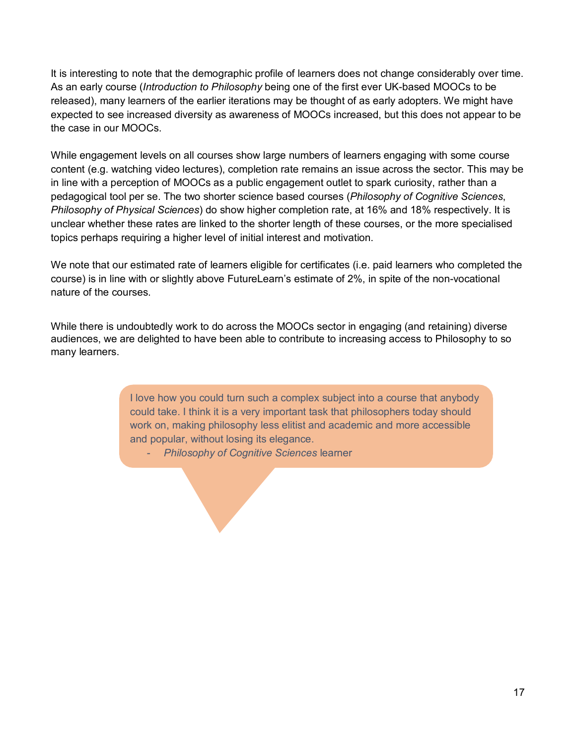It is interesting to note that the demographic profile of learners does not change considerably over time. As an early course (*Introduction to Philosophy* being one of the first ever UK-based MOOCs to be released), many learners of the earlier iterations may be thought of as early adopters. We might have expected to see increased diversity as awareness of MOOCs increased, but this does not appear to be the case in our MOOCs.

While engagement levels on all courses show large numbers of learners engaging with some course content (e.g. watching video lectures), completion rate remains an issue across the sector. This may be in line with a perception of MOOCs as a public engagement outlet to spark curiosity, rather than a pedagogical tool per se. The two shorter science based courses (*Philosophy of Cognitive Sciences*, *Philosophy of Physical Sciences*) do show higher completion rate, at 16% and 18% respectively. It is unclear whether these rates are linked to the shorter length of these courses, or the more specialised topics perhaps requiring a higher level of initial interest and motivation.

We note that our estimated rate of learners eligible for certificates (i.e. paid learners who completed the course) is in line with or slightly above FutureLearn's estimate of 2%, in spite of the non-vocational nature of the courses.

While there is undoubtedly work to do across the MOOCs sector in engaging (and retaining) diverse audiences, we are delighted to have been able to contribute to increasing access to Philosophy to so many learners.

> I love how you could turn such a complex subject into a course that anybody could take. I think it is a very important task that philosophers today should work on, making philosophy less elitist and academic and more accessible and popular, without losing its elegance.

- *Philosophy of Cognitive Sciences* learner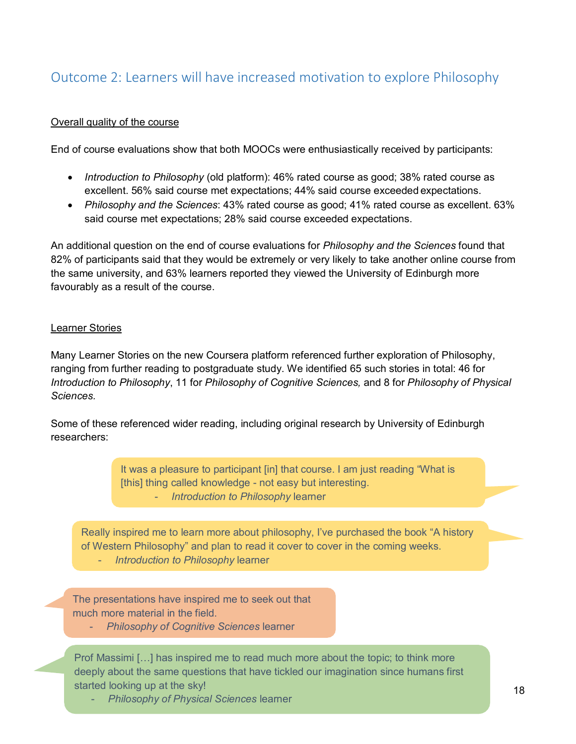### <span id="page-17-0"></span>Outcome 2: Learners will have increased motivation to explore Philosophy

#### Overall quality of the course

End of course evaluations show that both MOOCs were enthusiastically received by participants:

- *Introduction to Philosophy* (old platform): 46% rated course as good; 38% rated course as excellent. 56% said course met expectations; 44% said course exceeded expectations.
- *Philosophy and the Sciences*: 43% rated course as good; 41% rated course as excellent. 63% said course met expectations; 28% said course exceeded expectations.

An additional question on the end of course evaluations for *Philosophy and the Sciences* found that 82% of participants said that they would be extremely or very likely to take another online course from the same university, and 63% learners reported they viewed the University of Edinburgh more favourably as a result of the course.

#### Learner Stories

Many Learner Stories on the new Coursera platform referenced further exploration of Philosophy, ranging from further reading to postgraduate study. We identified 65 such stories in total: 46 for *Introduction to Philosophy*, 11 for *Philosophy of Cognitive Sciences,* and 8 for *Philosophy of Physical Sciences.*

Some of these referenced wider reading, including original research by University of Edinburgh researchers:

> It was a pleasure to participant [in] that course. I am just reading "What is [this] thing called knowledge - not easy but interesting. - *Introduction to Philosophy* learner

Really inspired me to learn more about philosophy, I've purchased the book "A history of Western Philosophy" and plan to read it cover to cover in the coming weeks.

- *Introduction to Philosophy* learner

The presentations have inspired me to seek out that much more material in the field.

- *Philosophy of Cognitive Sciences* learner

Prof Massimi […] has inspired me to read much more about the topic; to think more deeply about the same questions that have tickled our imagination since humans first started looking up at the sky!

- *Philosophy of Physical Sciences* learner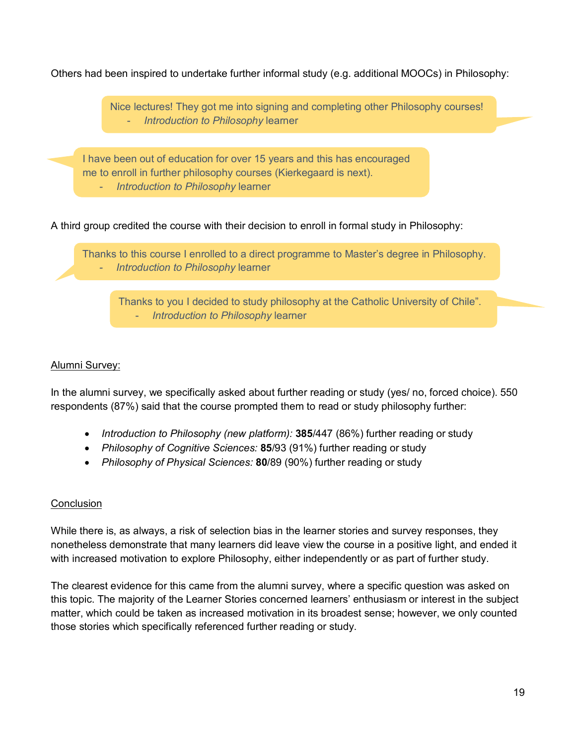Others had been inspired to undertake further informal study (e.g. additional MOOCs) in Philosophy:



Thanks to you I decided to study philosophy at the Catholic University of Chile". - *Introduction to Philosophy* learner

### Alumni Survey:

In the alumni survey, we specifically asked about further reading or study (yes/ no, forced choice). 550 respondents (87%) said that the course prompted them to read or study philosophy further:

- *Introduction to Philosophy (new platform):* **385**/447 (86%) further reading or study
- *Philosophy of Cognitive Sciences:* **85**/93 (91%) further reading or study
- *Philosophy of Physical Sciences:* **80**/89 (90%) further reading or study

### **Conclusion**

While there is, as always, a risk of selection bias in the learner stories and survey responses, they nonetheless demonstrate that many learners did leave view the course in a positive light, and ended it with increased motivation to explore Philosophy, either independently or as part of further study.

The clearest evidence for this came from the alumni survey, where a specific question was asked on this topic. The majority of the Learner Stories concerned learners' enthusiasm or interest in the subject matter, which could be taken as increased motivation in its broadest sense; however, we only counted those stories which specifically referenced further reading or study.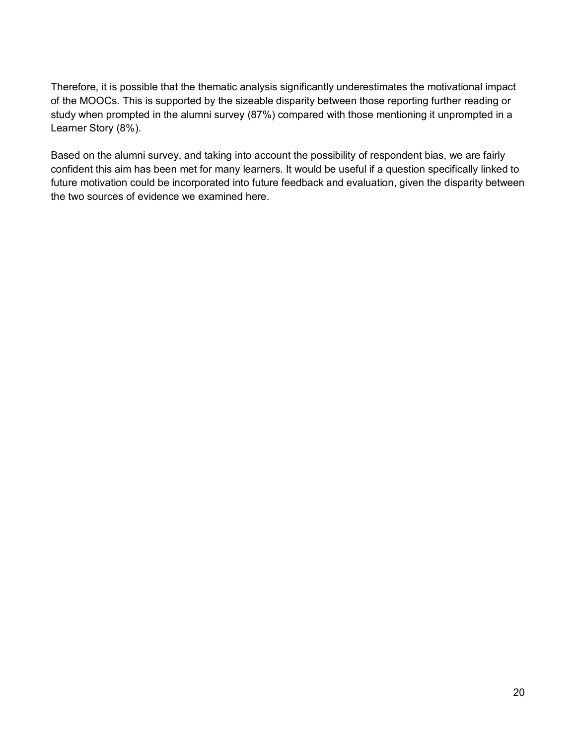Therefore, it is possible that the thematic analysis significantly underestimates the motivational impact of the MOOCs. This is supported by the sizeable disparity between those reporting further reading or study when prompted in the alumni survey (87%) compared with those mentioning it unprompted in a Learner Story (8%).

Based on the alumni survey, and taking into account the possibility of respondent bias, we are fairly confident this aim has been met for many learners. It would be useful if a question specifically linked to future motivation could be incorporated into future feedback and evaluation, given the disparity between the two sources of evidence we examined here.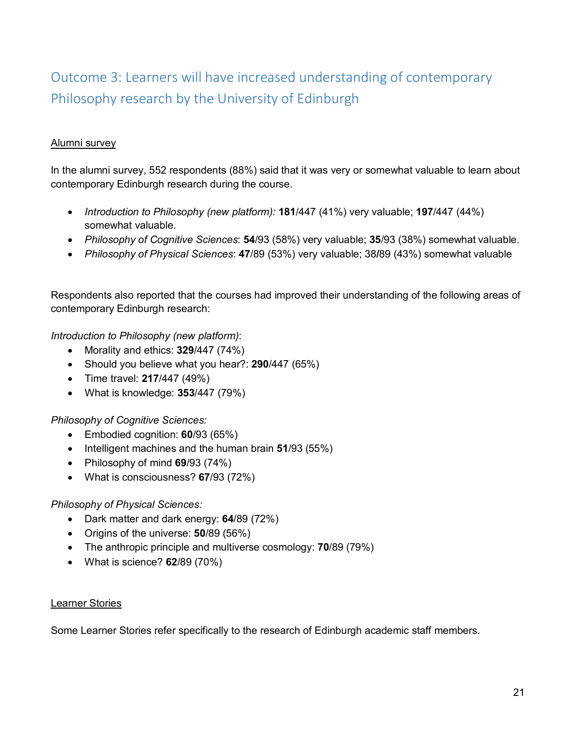### <span id="page-20-0"></span>Outcome 3: Learners will have increased understanding of contemporary Philosophy research by the University of Edinburgh

### Alumni survey

In the alumni survey, 552 respondents (88%) said that it was very or somewhat valuable to learn about contemporary Edinburgh research during the course.

- *Introduction to Philosophy (new platform):* **181**/447 (41%) very valuable; **197**/447 (44%) somewhat valuable.
- *Philosophy of Cognitive Sciences*: **54**/93 (58%) very valuable; **35**/93 (38%) somewhat valuable.
- *Philosophy of Physical Sciences*: **47**/89 (53%) very valuable; 38**/**89 (43%) somewhat valuable

Respondents also reported that the courses had improved their understanding of the following areas of contemporary Edinburgh research:

*Introduction to Philosophy (new platform)*:

- Morality and ethics: **329**/447 (74%)
- Should you believe what you hear?: **290**/447 (65%)
- Time travel: **217**/447 (49%)
- What is knowledge: **353**/447 (79%)

*Philosophy of Cognitive Sciences:*

- Embodied cognition: **60**/93 (65%)
- Intelligent machines and the human brain **51**/93 (55%)
- Philosophy of mind **69**/93 (74%)
- What is consciousness? **67**/93 (72%)

### *Philosophy of Physical Sciences:*

- Dark matter and dark energy: **64**/89 (72%)
- Origins of the universe: **50**/89 (56%)
- The anthropic principle and multiverse cosmology: **70**/89 (79%)
- What is science? **62**/89 (70%)

### Learner Stories

Some Learner Stories refer specifically to the research of Edinburgh academic staff members.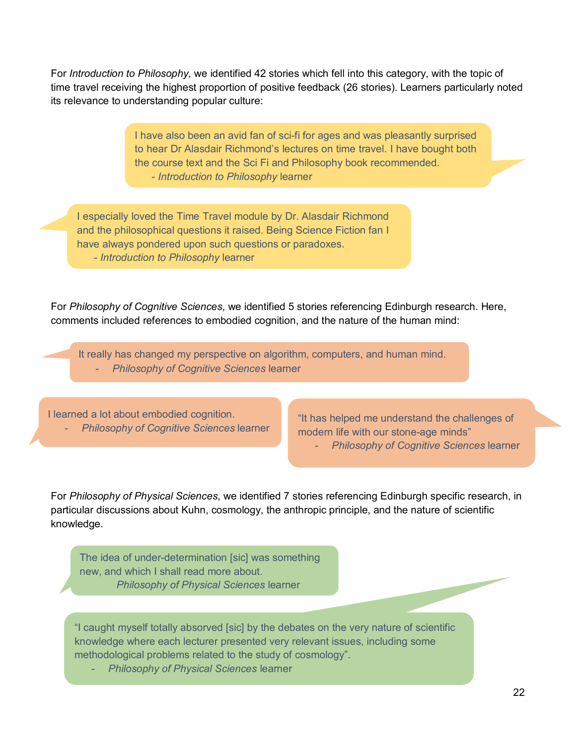For *Introduction to Philosophy,* we identified 42 stories which fell into this category, with the topic of time travel receiving the highest proportion of positive feedback (26 stories). Learners particularly noted its relevance to understanding popular culture:

> I have also been an avid fan of sci-fi for ages and was pleasantly surprised to hear Dr Alasdair Richmond's lectures on time travel. I have bought both the course text and the Sci Fi and Philosophy book recommended. - *Introduction to Philosophy* learner

I especially loved the Time Travel module by Dr. Alasdair Richmond and the philosophical questions it raised. Being Science Fiction fan I have always pondered upon such questions or paradoxes. - *Introduction to Philosophy* learner

For *Philosophy of Cognitive Sciences*, we identified 5 stories referencing Edinburgh research. Here, comments included references to embodied cognition, and the nature of the human mind:

It really has changed my perspective on algorithm, computers, and human mind. - *Philosophy of Cognitive Sciences* learner

I learned a lot about embodied cognition. - *Philosophy of Cognitive Sciences* learner

"It has helped me understand the challenges of modern life with our stone-age minds" - *Philosophy of Cognitive Sciences* learner

For *Philosophy of Physical Sciences*, we identified 7 stories referencing Edinburgh specific research, in particular discussions about Kuhn, cosmology, the anthropic principle, and the nature of scientific knowledge.

The idea of under-determination [sic] was something new, and which I shall read more about. *Philosophy of Physical Sciences* learner

"I caught myself totally absorved [sic] by the debates on the very nature of scientific knowledge where each lecturer presented very relevant issues, including some methodological problems related to the study of cosmology".

- *Philosophy of Physical Sciences* learner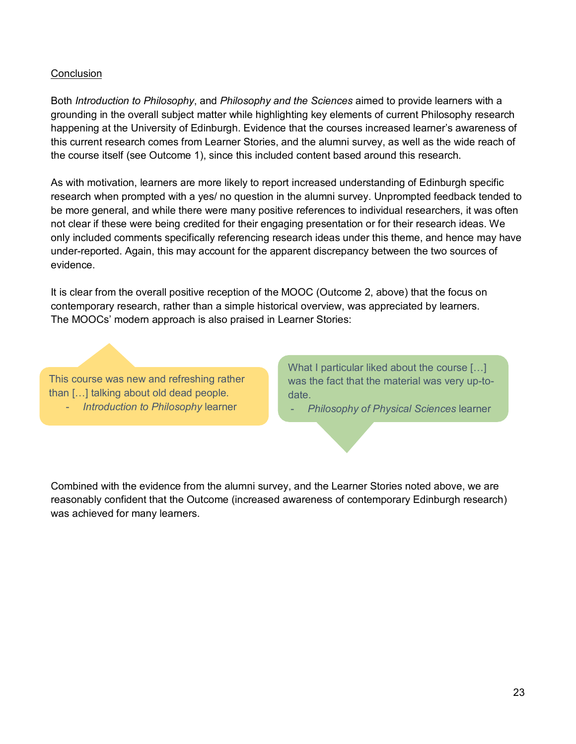#### **Conclusion**

Both *Introduction to Philosophy*, and *Philosophy and the Sciences* aimed to provide learners with a grounding in the overall subject matter while highlighting key elements of current Philosophy research happening at the University of Edinburgh. Evidence that the courses increased learner's awareness of this current research comes from Learner Stories, and the alumni survey, as well as the wide reach of the course itself (see Outcome 1), since this included content based around this research.

As with motivation, learners are more likely to report increased understanding of Edinburgh specific research when prompted with a yes/ no question in the alumni survey. Unprompted feedback tended to be more general, and while there were many positive references to individual researchers, it was often not clear if these were being credited for their engaging presentation or for their research ideas. We only included comments specifically referencing research ideas under this theme, and hence may have under-reported. Again, this may account for the apparent discrepancy between the two sources of evidence.

It is clear from the overall positive reception of the MOOC (Outcome 2, above) that the focus on contemporary research, rather than a simple historical overview, was appreciated by learners. The MOOCs' modern approach is also praised in Learner Stories:

This course was new and refreshing rather than […] talking about old dead people. - *Introduction to Philosophy* learner

What I particular liked about the course […] was the fact that the material was very up-todate.

- *Philosophy of Physical Sciences* learner

Combined with the evidence from the alumni survey, and the Learner Stories noted above, we are reasonably confident that the Outcome (increased awareness of contemporary Edinburgh research) was achieved for many learners.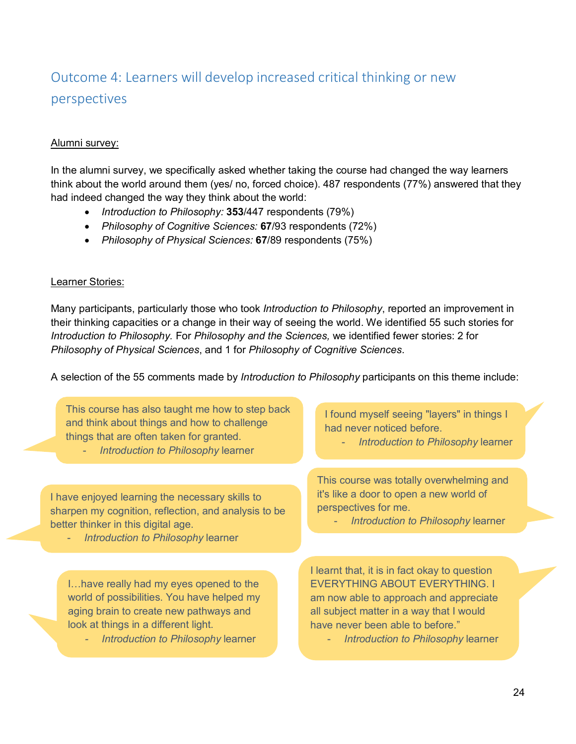### <span id="page-23-0"></span>Outcome 4: Learners will develop increased critical thinking or new perspectives

### Alumni survey:

In the alumni survey, we specifically asked whether taking the course had changed the way learners think about the world around them (yes/ no, forced choice). 487 respondents (77%) answered that they had indeed changed the way they think about the world:

- *Introduction to Philosophy:* **353**/447 respondents (79%)
- *Philosophy of Cognitive Sciences:* **67**/93 respondents (72%)
- *Philosophy of Physical Sciences:* **67**/89 respondents (75%)

### Learner Stories:

Many participants, particularly those who took *Introduction to Philosophy*, reported an improvement in their thinking capacities or a change in their way of seeing the world. We identified 55 such stories for *Introduction to Philosophy.* For *Philosophy and the Sciences,* we identified fewer stories: 2 for *Philosophy of Physical Sciences*, and 1 for *Philosophy of Cognitive Sciences*.

A selection of the 55 comments made by *Introduction to Philosophy* participants on this theme include:

This course has also taught me how to step back and think about things and how to challenge things that are often taken for granted.

**Introduction to Philosophy learner** 

I have enjoyed learning the necessary skills to sharpen my cognition, reflection, and analysis to be better thinker in this digital age.

- *Introduction to Philosophy* learner

I…have really had my eyes opened to the world of possibilities. You have helped my aging brain to create new pathways and look at things in a different light.

*- Introduction to Philosophy* learner

I found myself seeing "layers" in things I had never noticed before.

- *Introduction to Philosophy* learner

This course was totally overwhelming and it's like a door to open a new world of perspectives for me.

- *Introduction to Philosophy* learner

I learnt that, it is in fact okay to question EVERYTHING ABOUT EVERYTHING. I am now able to approach and appreciate all subject matter in a way that I would have never been able to before."

*Introduction to Philosophy learner*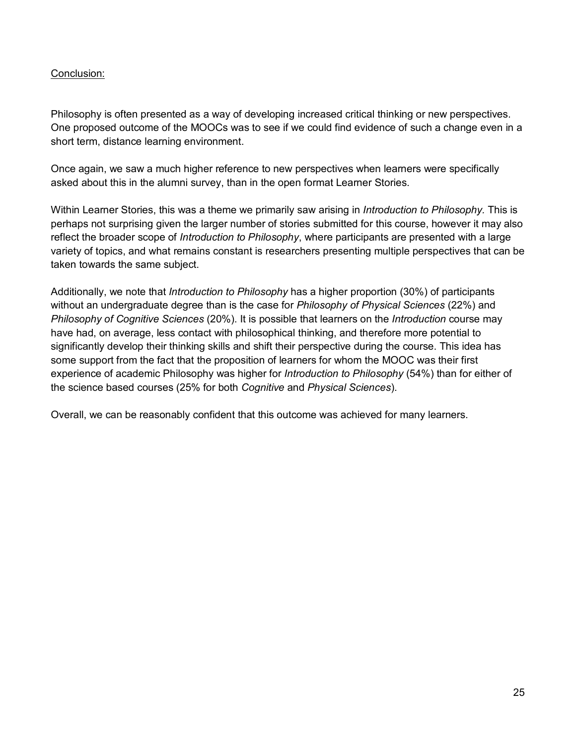### Conclusion:

Philosophy is often presented as a way of developing increased critical thinking or new perspectives. One proposed outcome of the MOOCs was to see if we could find evidence of such a change even in a short term, distance learning environment.

Once again, we saw a much higher reference to new perspectives when learners were specifically asked about this in the alumni survey, than in the open format Learner Stories.

Within Learner Stories, this was a theme we primarily saw arising in *Introduction to Philosophy.* This is perhaps not surprising given the larger number of stories submitted for this course, however it may also reflect the broader scope of *Introduction to Philosophy*, where participants are presented with a large variety of topics, and what remains constant is researchers presenting multiple perspectives that can be taken towards the same subject.

Additionally, we note that *Introduction to Philosophy* has a higher proportion (30%) of participants without an undergraduate degree than is the case for *Philosophy of Physical Sciences* (22%) and *Philosophy of Cognitive Sciences* (20%). It is possible that learners on the *Introduction* course may have had, on average, less contact with philosophical thinking, and therefore more potential to significantly develop their thinking skills and shift their perspective during the course. This idea has some support from the fact that the proposition of learners for whom the MOOC was their first experience of academic Philosophy was higher for *Introduction to Philosophy* (54%) than for either of the science based courses (25% for both *Cognitive* and *Physical Sciences*).

Overall, we can be reasonably confident that this outcome was achieved for many learners.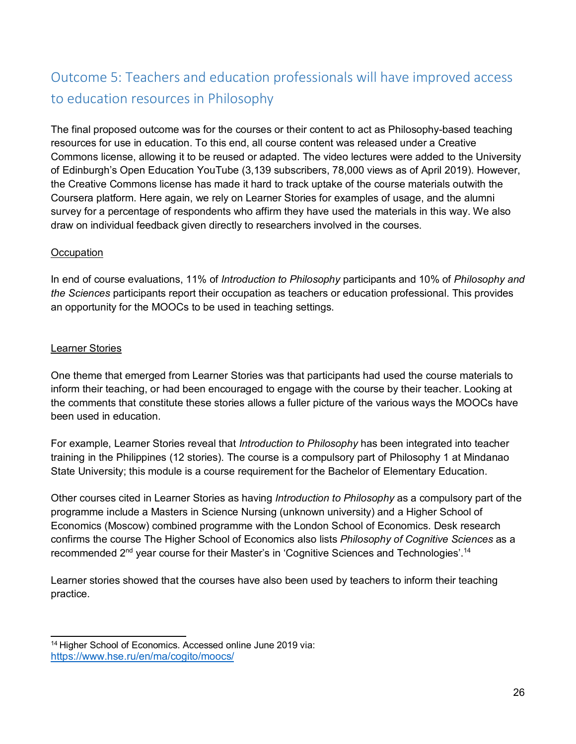### <span id="page-25-0"></span>Outcome 5: Teachers and education professionals will have improved access to education resources in Philosophy

The final proposed outcome was for the courses or their content to act as Philosophy-based teaching resources for use in education. To this end, all course content was released under a Creative Commons license, allowing it to be reused or adapted. The video lectures were added to the University of Edinburgh's Open Education YouTube (3,139 subscribers, 78,000 views as of April 2019). However, the Creative Commons license has made it hard to track uptake of the course materials outwith the Coursera platform. Here again, we rely on Learner Stories for examples of usage, and the alumni survey for a percentage of respondents who affirm they have used the materials in this way. We also draw on individual feedback given directly to researchers involved in the courses.

### **Occupation**

In end of course evaluations, 11% of *Introduction to Philosophy* participants and 10% of *Philosophy and the Sciences* participants report their occupation as teachers or education professional. This provides an opportunity for the MOOCs to be used in teaching settings.

#### Learner Stories

One theme that emerged from Learner Stories was that participants had used the course materials to inform their teaching, or had been encouraged to engage with the course by their teacher. Looking at the comments that constitute these stories allows a fuller picture of the various ways the MOOCs have been used in education.

For example, Learner Stories reveal that *Introduction to Philosophy* has been integrated into teacher training in the Philippines (12 stories). The course is a compulsory part of Philosophy 1 at Mindanao State University; this module is a course requirement for the Bachelor of Elementary Education.

Other courses cited in Learner Stories as having *Introduction to Philosophy* as a compulsory part of the programme include a Masters in Science Nursing (unknown university) and a Higher School of Economics (Moscow) combined programme with the London School of Economics. Desk research confirms the course The Higher School of Economics also lists *Philosophy of Cognitive Sciences* as a recommended 2<sup>nd</sup> year course for their Master's in 'Cognitive Sciences and Technologies'.<sup>14</sup>

Learner stories showed that the courses have also been used by teachers to inform their teaching practice.

<span id="page-25-1"></span><sup>&</sup>lt;sup>14</sup> Higher School of Economics. Accessed online June 2019 via: <https://www.hse.ru/en/ma/cogito/moocs/>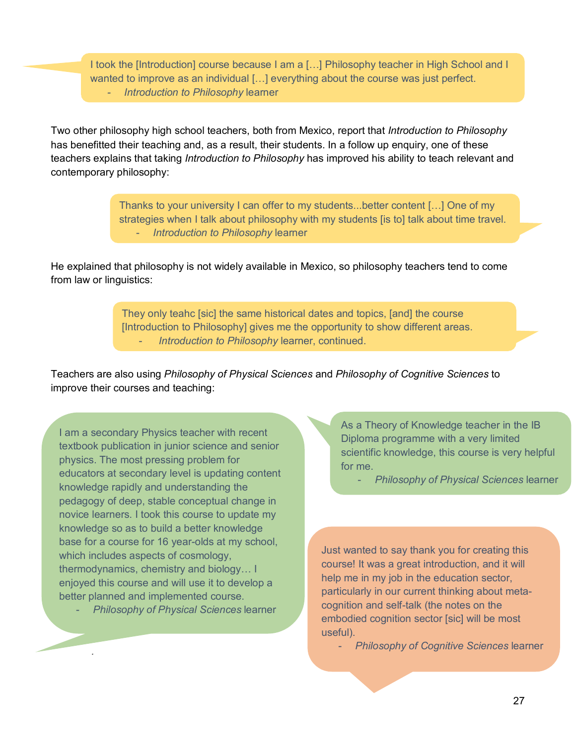I took the [Introduction] course because I am a […] Philosophy teacher in High School and I wanted to improve as an individual […] everything about the course was just perfect. *- Introduction to Philosophy* learner

Two other philosophy high school teachers, both from Mexico, report that *Introduction to Philosophy*  has benefitted their teaching and, as a result, their students. In a follow up enquiry, one of these teachers explains that taking *Introduction to Philosophy* has improved his ability to teach relevant and contemporary philosophy:

> Thanks to your university I can offer to my students...better content […] One of my strategies when I talk about philosophy with my students [is to] talk about time travel. - *Introduction to Philosophy* learner

He explained that philosophy is not widely available in Mexico, so philosophy teachers tend to come from law or linguistics:

> They only teahc [sic] the same historical dates and topics, [and] the course [Introduction to Philosophy] gives me the opportunity to show different areas. - *Introduction to Philosophy* learner, continued.

Teachers are also using *Philosophy of Physical Sciences* and *Philosophy of Cognitive Sciences* to improve their courses and teaching:

I am a secondary Physics teacher with recent textbook publication in junior science and senior physics. The most pressing problem for educators at secondary level is updating content knowledge rapidly and understanding the pedagogy of deep, stable conceptual change in novice learners. I took this course to update my knowledge so as to build a better knowledge base for a course for 16 year-olds at my school, which includes aspects of cosmology, thermodynamics, chemistry and biology… I enjoyed this course and will use it to develop a better planned and implemented course.

- *Philosophy of Physical Sciences* learner

*.*

As a Theory of Knowledge teacher in the IB Diploma programme with a very limited scientific knowledge, this course is very helpful for me.

- *Philosophy of Physical Sciences* learner

Just wanted to say thank you for creating this course! It was a great introduction, and it will help me in my job in the education sector, particularly in our current thinking about metacognition and self-talk (the notes on the embodied cognition sector [sic] will be most useful).

- *Philosophy of Cognitive Sciences* learner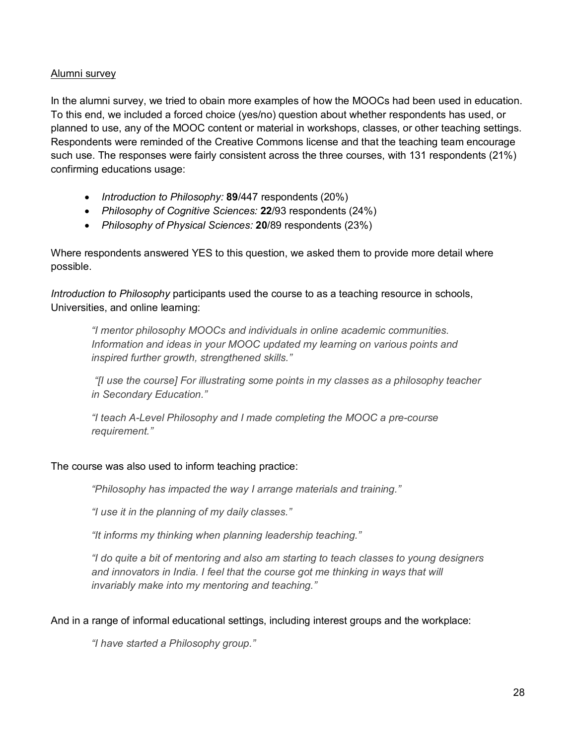#### Alumni survey

In the alumni survey, we tried to obain more examples of how the MOOCs had been used in education. To this end, we included a forced choice (yes/no) question about whether respondents has used, or planned to use, any of the MOOC content or material in workshops, classes, or other teaching settings. Respondents were reminded of the Creative Commons license and that the teaching team encourage such use. The responses were fairly consistent across the three courses, with 131 respondents (21%) confirming educations usage:

- *Introduction to Philosophy:* **89**/447 respondents (20%)
- *Philosophy of Cognitive Sciences:* **22**/93 respondents (24%)
- *Philosophy of Physical Sciences:* **20**/89 respondents (23%)

Where respondents answered YES to this question, we asked them to provide more detail where possible.

*Introduction to Philosophy* participants used the course to as a teaching resource in schools, Universities, and online learning:

*"I mentor philosophy MOOCs and individuals in online academic communities. Information and ideas in your MOOC updated my learning on various points and inspired further growth, strengthened skills."*

*"[I use the course] For illustrating some points in my classes as a philosophy teacher in Secondary Education."*

*"I teach A-Level Philosophy and I made completing the MOOC a pre-course requirement."*

### The course was also used to inform teaching practice:

*"Philosophy has impacted the way I arrange materials and training."* 

*"I use it in the planning of my daily classes."*

*"It informs my thinking when planning leadership teaching."*

*"I do quite a bit of mentoring and also am starting to teach classes to young designers*  and innovators in India. I feel that the course got me thinking in ways that will *invariably make into my mentoring and teaching."*

And in a range of informal educational settings, including interest groups and the workplace:

*"I have started a Philosophy group."*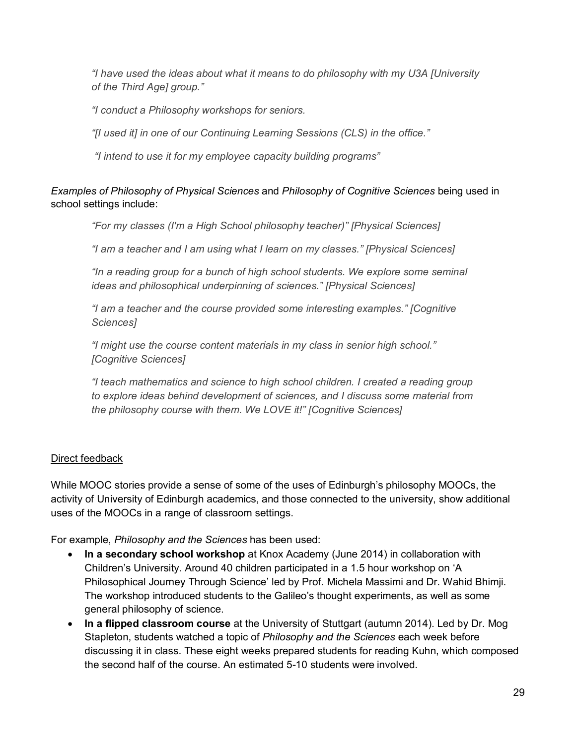*"I have used the ideas about what it means to do philosophy with my U3A [University of the Third Age] group."*

*"I conduct a Philosophy workshops for seniors.*

*"[I used it] in one of our Continuing Learning Sessions (CLS) in the office."* 

*"I intend to use it for my employee capacity building programs"*

### *Examples of Philosophy of Physical Sciences* and *Philosophy of Cognitive Sciences* being used in school settings include:

*"For my classes (I'm a High School philosophy teacher)" [Physical Sciences]*

*"I am a teacher and I am using what I learn on my classes." [Physical Sciences]*

*"In a reading group for a bunch of high school students. We explore some seminal ideas and philosophical underpinning of sciences." [Physical Sciences]*

*"I am a teacher and the course provided some interesting examples." [Cognitive Sciences]*

*"I might use the course content materials in my class in senior high school." [Cognitive Sciences]*

*"I teach mathematics and science to high school children. I created a reading group to explore ideas behind development of sciences, and I discuss some material from the philosophy course with them. We LOVE it!" [Cognitive Sciences]*

### Direct feedback

While MOOC stories provide a sense of some of the uses of Edinburgh's philosophy MOOCs, the activity of University of Edinburgh academics, and those connected to the university, show additional uses of the MOOCs in a range of classroom settings.

For example, *Philosophy and the Sciences* has been used:

- **In a secondary school workshop** at Knox Academy (June 2014) in collaboration with Children's University. Around 40 children participated in a 1.5 hour workshop on 'A Philosophical Journey Through Science' led by Prof. Michela Massimi and Dr. Wahid Bhimji. The workshop introduced students to the Galileo's thought experiments, as well as some general philosophy of science.
- **In a flipped classroom course** at the University of Stuttgart (autumn 2014). Led by Dr. Mog Stapleton, students watched a topic of *Philosophy and the Sciences* each week before discussing it in class. These eight weeks prepared students for reading Kuhn, which composed the second half of the course. An estimated 5-10 students were involved.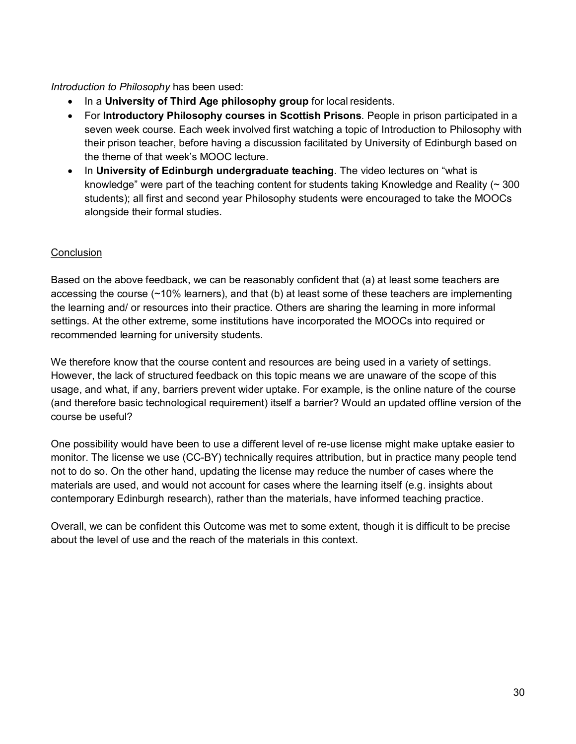*Introduction to Philosophy* has been used:

- In a **University of Third Age philosophy group** for local residents.
- For **Introductory Philosophy courses in Scottish Prisons**. People in prison participated in a seven week course. Each week involved first watching a topic of Introduction to Philosophy with their prison teacher, before having a discussion facilitated by University of Edinburgh based on the theme of that week's MOOC lecture.
- In **University of Edinburgh undergraduate teaching**. The video lectures on "what is knowledge" were part of the teaching content for students taking Knowledge and Reality  $($   $\sim$  300 students); all first and second year Philosophy students were encouraged to take the MOOCs alongside their formal studies.

### **Conclusion**

Based on the above feedback, we can be reasonably confident that (a) at least some teachers are accessing the course (~10% learners), and that (b) at least some of these teachers are implementing the learning and/ or resources into their practice. Others are sharing the learning in more informal settings. At the other extreme, some institutions have incorporated the MOOCs into required or recommended learning for university students.

We therefore know that the course content and resources are being used in a variety of settings. However, the lack of structured feedback on this topic means we are unaware of the scope of this usage, and what, if any, barriers prevent wider uptake. For example, is the online nature of the course (and therefore basic technological requirement) itself a barrier? Would an updated offline version of the course be useful?

One possibility would have been to use a different level of re-use license might make uptake easier to monitor. The license we use (CC-BY) technically requires attribution, but in practice many people tend not to do so. On the other hand, updating the license may reduce the number of cases where the materials are used, and would not account for cases where the learning itself (e.g. insights about contemporary Edinburgh research), rather than the materials, have informed teaching practice.

Overall, we can be confident this Outcome was met to some extent, though it is difficult to be precise about the level of use and the reach of the materials in this context.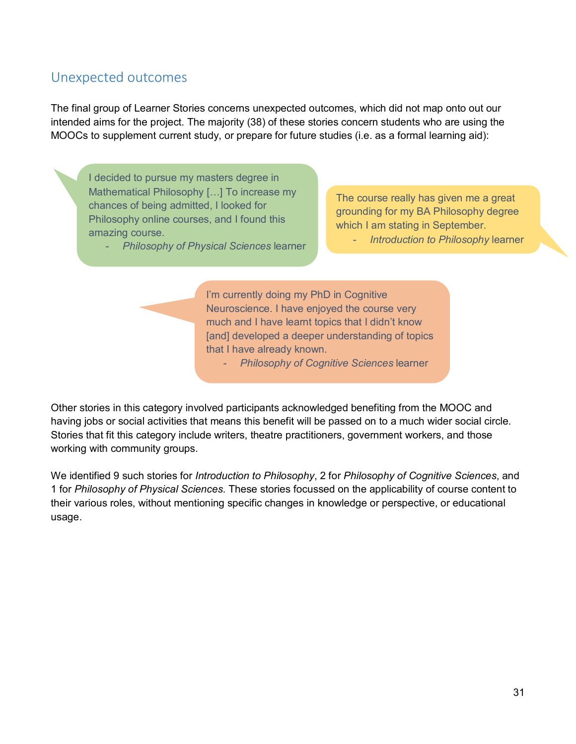### <span id="page-30-0"></span>Unexpected outcomes

The final group of Learner Stories concerns unexpected outcomes, which did not map onto out our intended aims for the project. The majority (38) of these stories concern students who are using the MOOCs to supplement current study, or prepare for future studies (i.e. as a formal learning aid):

I decided to pursue my masters degree in Mathematical Philosophy […] To increase my chances of being admitted, I looked for Philosophy online courses, and I found this amazing course.

- *Philosophy of Physical Sciences* learner

The course really has given me a great grounding for my BA Philosophy degree which I am stating in September.

- *Introduction to Philosophy* learner

I'm currently doing my PhD in Cognitive Neuroscience. I have enjoyed the course very much and I have learnt topics that I didn't know [and] developed a deeper understanding of topics that I have already known.

- *Philosophy of Cognitive Sciences* learner

Other stories in this category involved participants acknowledged benefiting from the MOOC and having jobs or social activities that means this benefit will be passed on to a much wider social circle. Stories that fit this category include writers, theatre practitioners, government workers, and those working with community groups.

We identified 9 such stories for *Introduction to Philosophy*, 2 for *Philosophy of Cognitive Sciences*, and 1 for *Philosophy of Physical Sciences*. These stories focussed on the applicability of course content to their various roles, without mentioning specific changes in knowledge or perspective, or educational usage.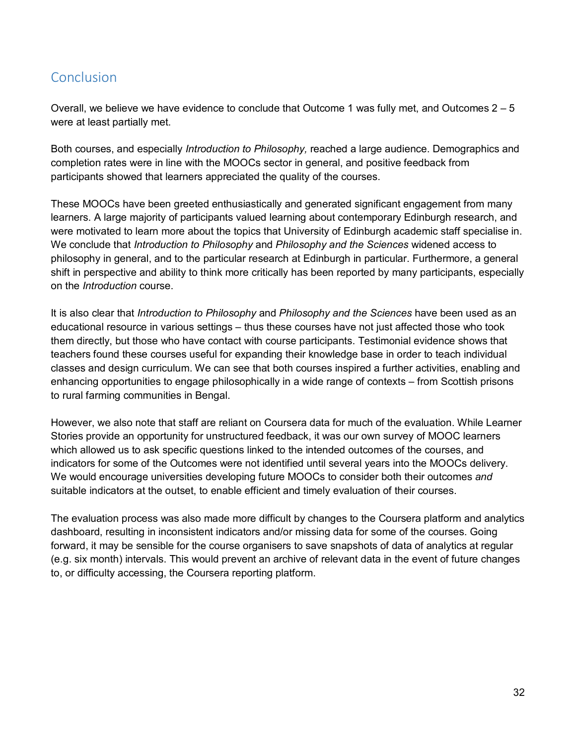### <span id="page-31-0"></span>Conclusion

Overall, we believe we have evidence to conclude that Outcome 1 was fully met, and Outcomes 2 – 5 were at least partially met.

Both courses, and especially *Introduction to Philosophy,* reached a large audience. Demographics and completion rates were in line with the MOOCs sector in general, and positive feedback from participants showed that learners appreciated the quality of the courses.

These MOOCs have been greeted enthusiastically and generated significant engagement from many learners. A large majority of participants valued learning about contemporary Edinburgh research, and were motivated to learn more about the topics that University of Edinburgh academic staff specialise in. We conclude that *Introduction to Philosophy* and *Philosophy and the Sciences* widened access to philosophy in general, and to the particular research at Edinburgh in particular. Furthermore, a general shift in perspective and ability to think more critically has been reported by many participants, especially on the *Introduction* course.

It is also clear that *Introduction to Philosophy* and *Philosophy and the Sciences* have been used as an educational resource in various settings – thus these courses have not just affected those who took them directly, but those who have contact with course participants. Testimonial evidence shows that teachers found these courses useful for expanding their knowledge base in order to teach individual classes and design curriculum. We can see that both courses inspired a further activities, enabling and enhancing opportunities to engage philosophically in a wide range of contexts – from Scottish prisons to rural farming communities in Bengal.

However, we also note that staff are reliant on Coursera data for much of the evaluation. While Learner Stories provide an opportunity for unstructured feedback, it was our own survey of MOOC learners which allowed us to ask specific questions linked to the intended outcomes of the courses, and indicators for some of the Outcomes were not identified until several years into the MOOCs delivery. We would encourage universities developing future MOOCs to consider both their outcomes *and* suitable indicators at the outset, to enable efficient and timely evaluation of their courses.

The evaluation process was also made more difficult by changes to the Coursera platform and analytics dashboard, resulting in inconsistent indicators and/or missing data for some of the courses. Going forward, it may be sensible for the course organisers to save snapshots of data of analytics at regular (e.g. six month) intervals. This would prevent an archive of relevant data in the event of future changes to, or difficulty accessing, the Coursera reporting platform.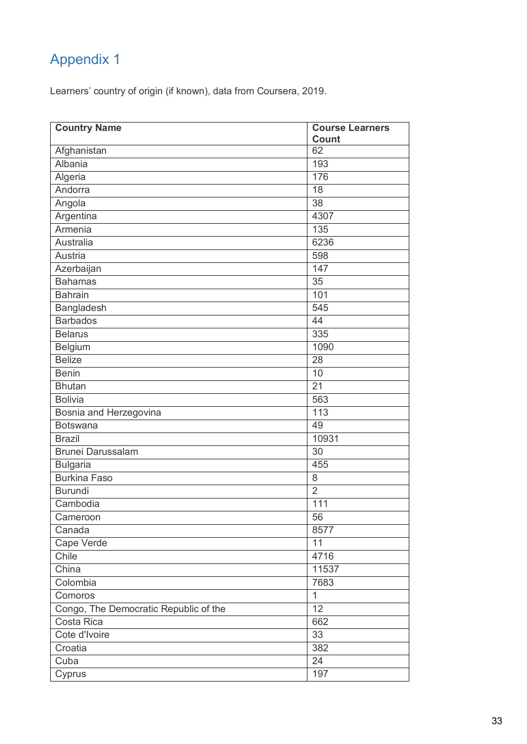## Appendix 1

Learners' country of origin (if known), data from Coursera, 2019.

| <b>Country Name</b>                   | <b>Course Learners</b> |
|---------------------------------------|------------------------|
|                                       | <b>Count</b>           |
| Afghanistan                           | 62                     |
| Albania                               | 193                    |
| Algeria                               | 176                    |
| Andorra                               | 18                     |
| Angola                                | 38                     |
| Argentina                             | 4307                   |
| Armenia                               | 135                    |
| <b>Australia</b>                      | 6236                   |
| Austria                               | 598                    |
| Azerbaijan                            | 147                    |
| <b>Bahamas</b>                        | 35                     |
| <b>Bahrain</b>                        | 101                    |
| Bangladesh                            | 545                    |
| <b>Barbados</b>                       | $\overline{44}$        |
| <b>Belarus</b>                        | 335                    |
| Belgium                               | 1090                   |
| <b>Belize</b>                         | 28                     |
| <b>Benin</b>                          | $\overline{10}$        |
| <b>Bhutan</b>                         | $\overline{21}$        |
| <b>Bolivia</b>                        | 563                    |
| Bosnia and Herzegovina                | 113                    |
| <b>Botswana</b>                       | 49                     |
| <b>Brazil</b>                         | 10931                  |
| Brunei Darussalam                     | 30                     |
| <b>Bulgaria</b>                       | 455                    |
| <b>Burkina Faso</b>                   | 8                      |
| <b>Burundi</b>                        | $\overline{2}$         |
| Cambodia                              | 111                    |
| Cameroon                              | 56                     |
| Canada                                | 8577                   |
| Cape Verde                            | 11                     |
| Chile                                 | 4716                   |
| China                                 | 11537                  |
| Colombia                              | 7683                   |
| Comoros                               | $\mathbf{1}$           |
| Congo, The Democratic Republic of the | 12                     |
| Costa Rica                            | 662                    |
| Cote d'Ivoire                         | 33                     |
| Croatia                               | 382                    |
| Cuba                                  | 24                     |
| Cyprus                                | 197                    |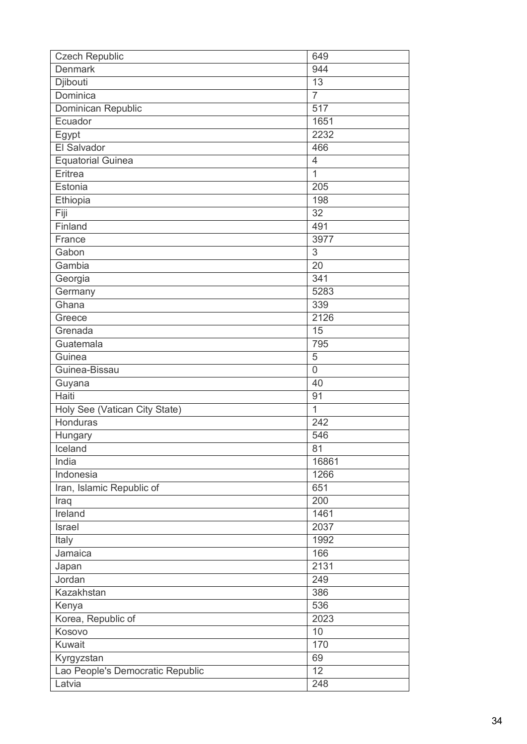| <b>Czech Republic</b>            | 649             |
|----------------------------------|-----------------|
| <b>Denmark</b>                   | 944             |
| Djibouti                         | 13              |
| Dominica                         | $\overline{7}$  |
| Dominican Republic               | 517             |
| Ecuador                          | 1651            |
| Egypt                            | 2232            |
| El Salvador                      | 466             |
| <b>Equatorial Guinea</b>         | 4               |
| Eritrea                          | $\overline{1}$  |
| Estonia                          | 205             |
| Ethiopia                         | 198             |
| Fiji                             | 32              |
| Finland                          | 491             |
| France                           | 3977            |
| Gabon                            | 3               |
| Gambia                           | 20              |
| Georgia                          | 341             |
| Germany                          | 5283            |
| Ghana                            | 339             |
| Greece                           | 2126            |
| Grenada                          | 15              |
| Guatemala                        | 795             |
| Guinea                           | 5               |
| Guinea-Bissau                    | $\overline{0}$  |
| Guyana                           | 40              |
| Haiti                            | $\overline{91}$ |
| Holy See (Vatican City State)    | $\overline{1}$  |
| Honduras                         | 242             |
| Hungary                          | 546             |
| Iceland                          | 81              |
| India                            | 16861           |
| Indonesia                        | 1266            |
| Iran, Islamic Republic of        | 651             |
| Iraq                             | 200             |
| Ireland                          | 1461            |
| Israel                           | 2037            |
| Italy                            | 1992            |
| Jamaica                          | 166             |
| Japan                            | 2131            |
| Jordan                           | 249             |
| Kazakhstan                       | 386             |
| Kenya                            | 536             |
| Korea, Republic of               | 2023            |
| Kosovo                           | 10              |
| Kuwait                           | 170             |
| Kyrgyzstan                       | 69              |
| Lao People's Democratic Republic | 12              |
| Latvia                           | 248             |
|                                  |                 |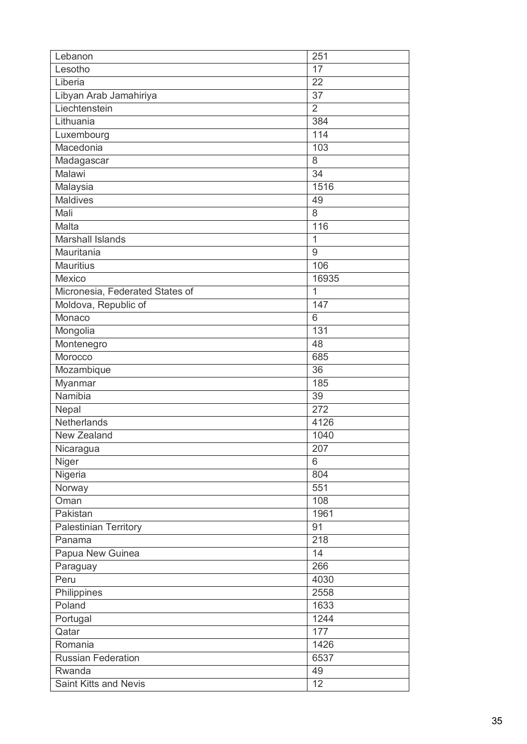| Lebanon                         | 251              |
|---------------------------------|------------------|
| Lesotho                         | 17               |
| Liberia                         | 22               |
| Libyan Arab Jamahiriya          | 37               |
| Liechtenstein                   | $\overline{2}$   |
| Lithuania                       | 384              |
| Luxembourg                      | 114              |
| Macedonia                       | 103              |
| Madagascar                      | 8                |
| Malawi                          | $\overline{34}$  |
| Malaysia                        | 1516             |
| <b>Maldives</b>                 | 49               |
| Mali                            | 8                |
| Malta                           | 116              |
| <b>Marshall Islands</b>         | $\overline{1}$   |
| Mauritania                      | $9\,$            |
| <b>Mauritius</b>                | 106              |
| Mexico                          | 16935            |
| Micronesia, Federated States of | 1                |
| Moldova, Republic of            | 147              |
| Monaco                          | 6                |
| Mongolia                        | 131              |
| Montenegro                      | 48               |
| Morocco                         | 685              |
| Mozambique                      | 36               |
| Myanmar                         | 185              |
| Namibia                         | 39               |
| Nepal                           | 272              |
| Netherlands                     | 4126             |
| <b>New Zealand</b>              | 1040             |
| Nicaragua                       | 207              |
| Niger                           | 6                |
| Nigeria                         | 804              |
| Norway                          | 551              |
| Oman                            | 108              |
| Pakistan                        | 1961             |
| <b>Palestinian Territory</b>    | 91               |
| Panama                          | $\overline{218}$ |
| Papua New Guinea                | 14               |
| Paraguay                        | 266              |
| Peru                            | 4030             |
| Philippines                     | 2558             |
| Poland                          | 1633             |
| Portugal                        | 1244             |
| Qatar                           | 177              |
| Romania                         | 1426             |
| Russian Federation              | 6537             |
| Rwanda                          | 49               |
| <b>Saint Kitts and Nevis</b>    | 12               |